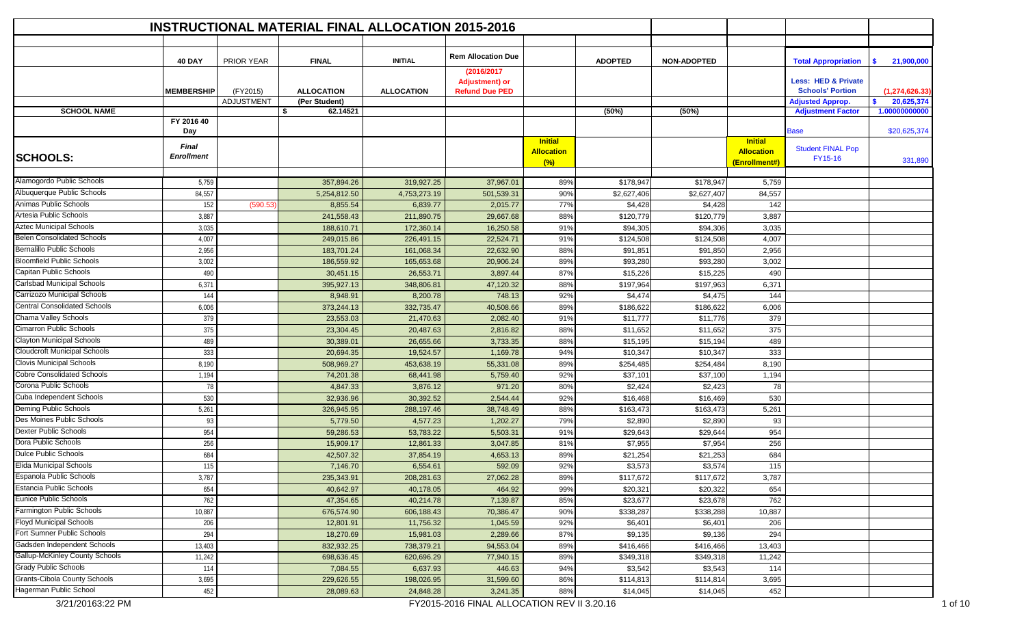|                                       |                                   |                   | <b>INSTRUCTIONAL MATERIAL FINAL ALLOCATION 2015-2016</b> |                        |                                                              |                                            |                      |                      |                                                      |                                                           |                   |
|---------------------------------------|-----------------------------------|-------------------|----------------------------------------------------------|------------------------|--------------------------------------------------------------|--------------------------------------------|----------------------|----------------------|------------------------------------------------------|-----------------------------------------------------------|-------------------|
|                                       |                                   |                   |                                                          |                        |                                                              |                                            |                      |                      |                                                      |                                                           |                   |
|                                       | <b>40 DAY</b>                     | PRIOR YEAR        | <b>FINAL</b>                                             | <b>INITIAL</b>         | <b>Rem Allocation Due</b>                                    |                                            | <b>ADOPTED</b>       | <b>NON-ADOPTED</b>   |                                                      | <b>Total Appropriation</b>                                | 21,900,000<br>- 5 |
|                                       | <b>MEMBERSHIP</b>                 | (FY2015)          | <b>ALLOCATION</b>                                        | <b>ALLOCATION</b>      | (2016/2017<br><b>Adjustment) or</b><br><b>Refund Due PED</b> |                                            |                      |                      |                                                      | <b>Less: HED &amp; Private</b><br><b>Schools' Portion</b> | (1, 274, 626.33)  |
|                                       |                                   | <b>ADJUSTMENT</b> | (Per Student)                                            |                        |                                                              |                                            |                      |                      |                                                      | <b>Adjusted Approp.</b>                                   | 20,625,374<br>\$. |
| <b>SCHOOL NAME</b>                    |                                   |                   | -\$<br>62.14521                                          |                        |                                                              |                                            | (50%)                | (50%)                |                                                      | <b>Adjustment Factor</b>                                  | 1.00000000000     |
|                                       | FY 2016 40<br>Day                 |                   |                                                          |                        |                                                              |                                            |                      |                      |                                                      | <b>Base</b>                                               | \$20,625,374      |
| <b>SCHOOLS:</b>                       | <b>Final</b><br><b>Enrollment</b> |                   |                                                          |                        |                                                              | <b>Initial</b><br><b>Allocation</b><br>(%) |                      |                      | <b>Initial</b><br><b>Allocation</b><br>(Enrollment#) | <b>Student FINAL Pop</b><br>FY15-16                       | 331,890           |
| Alamogordo Public Schools             |                                   |                   |                                                          |                        |                                                              |                                            |                      |                      |                                                      |                                                           |                   |
| Albuquerque Public Schools            | 5,759                             |                   | 357,894.26                                               | 319,927.25             | 37,967.01                                                    | 89%                                        | \$178,947            | \$178,947            | 5,759                                                |                                                           |                   |
| Animas Public Schools                 | 84,557                            |                   | 5,254,812.50                                             | 4,753,273.19           | 501,539.31                                                   | 90%                                        | \$2,627,406          | \$2,627,407          | 84,557                                               |                                                           |                   |
| Artesia Public Schools                | 152<br>3,887                      | (590.53)          | 8,855.54<br>241,558.43                                   | 6,839.77<br>211,890.75 | 2,015.77<br>29,667.68                                        | 77%<br>88%                                 | \$4,428<br>\$120,779 | \$4,428<br>\$120,779 | 142<br>3,887                                         |                                                           |                   |
| <b>Aztec Municipal Schools</b>        | 3,035                             |                   | 188,610.71                                               | 172,360.14             | 16,250.58                                                    | 91%                                        | \$94,305             | \$94,306             | 3,035                                                |                                                           |                   |
| <b>Belen Consolidated Schools</b>     | 4,007                             |                   | 249,015.86                                               | 226,491.15             | 22,524.71                                                    | 91%                                        | \$124,508            | \$124,508            | 4,007                                                |                                                           |                   |
| <b>Bernalillo Public Schools</b>      | 2,956                             |                   | 183,701.24                                               | 161,068.34             | 22,632.90                                                    | 88%                                        | \$91,851             | \$91,850             | 2,956                                                |                                                           |                   |
| <b>Bloomfield Public Schools</b>      | 3,002                             |                   | 186,559.92                                               | 165,653.68             | 20,906.24                                                    | 89%                                        | \$93,280             | \$93,280             | 3,002                                                |                                                           |                   |
| Capitan Public Schools                | 490                               |                   | 30,451.15                                                | 26,553.71              | 3,897.44                                                     | 87%                                        | \$15,226             | \$15,225             | 490                                                  |                                                           |                   |
| Carlsbad Municipal Schools            | 6,371                             |                   | 395,927.13                                               | 348,806.81             | 47,120.32                                                    | 88%                                        | \$197,964            | \$197,963            | 6,371                                                |                                                           |                   |
| Carrizozo Municipal Schools           | 144                               |                   | 8,948.91                                                 | 8,200.78               | 748.13                                                       | 92%                                        | \$4,474              | \$4,475              | 144                                                  |                                                           |                   |
| <b>Central Consolidated Schools</b>   | 6,006                             |                   | 373,244.13                                               | 332,735.47             | 40,508.66                                                    | 89%                                        | \$186,622            | \$186,622            | 6,006                                                |                                                           |                   |
| Chama Valley Schools                  | 379                               |                   | 23,553.03                                                | 21,470.63              | 2,082.40                                                     | 91%                                        | \$11,777             | \$11,776             | 379                                                  |                                                           |                   |
| <b>Cimarron Public Schools</b>        | 375                               |                   | 23,304.45                                                | 20,487.63              | 2,816.82                                                     | 88%                                        | \$11,652             | \$11,652             | 375                                                  |                                                           |                   |
| <b>Clayton Municipal Schools</b>      | 489                               |                   | 30,389.01                                                | 26,655.66              | 3,733.35                                                     | 88%                                        | \$15,195             | \$15,194             | 489                                                  |                                                           |                   |
| Cloudcroft Municipal Schools          | 333                               |                   | 20,694.35                                                | 19,524.57              | 1,169.78                                                     | 94%                                        | \$10,347             | \$10,347             | 333                                                  |                                                           |                   |
| <b>Clovis Municipal Schools</b>       | 8,190                             |                   | 508,969.27                                               | 453,638.19             | 55,331.08                                                    | 89%                                        | \$254,485            | \$254,484            | 8,190                                                |                                                           |                   |
| <b>Cobre Consolidated Schools</b>     | 1,194                             |                   | 74,201.38                                                | 68,441.98              | 5,759.40                                                     | 92%                                        | \$37,101             | \$37,100             | 1,194                                                |                                                           |                   |
| Corona Public Schools                 | 78                                |                   | 4,847.33                                                 | 3,876.12               | 971.20                                                       | 80%                                        | \$2,424              | \$2,423              | 78                                                   |                                                           |                   |
| Cuba Independent Schools              | 530                               |                   | 32,936.96                                                | 30,392.52              | 2,544.44                                                     | 92%                                        | \$16,468             | \$16,469             | 530                                                  |                                                           |                   |
| Deming Public Schools                 | 5,261                             |                   | 326,945.95                                               | 288,197.46             | 38,748.49                                                    | 88%                                        | \$163,473            | \$163,473            | 5,261                                                |                                                           |                   |
| Des Moines Public Schools             | 93                                |                   | 5,779.50                                                 | 4,577.23               | 1,202.27                                                     | 79%                                        | \$2,890              | \$2,890              | 93                                                   |                                                           |                   |
| Dexter Public Schools                 | 954                               |                   | 59,286.53                                                | 53,783.22              | 5,503.31                                                     | 91%                                        | \$29,643             | \$29,644             | 954                                                  |                                                           |                   |
| Dora Public Schools                   | 256                               |                   | 15,909.17                                                | 12,861.33              | 3,047.85                                                     | 81%                                        | \$7,955              | \$7,954              | 256                                                  |                                                           |                   |
| Dulce Public Schools                  | 684                               |                   | 42,507.32                                                | 37,854.19              | 4,653.13                                                     | 89%                                        | \$21,254             | \$21,253             | 684                                                  |                                                           |                   |
| <b>Elida Municipal Schools</b>        | 115                               |                   | 7,146.70                                                 | 6,554.61               | 592.09                                                       | 92%                                        | \$3,573              | \$3,574              | 115                                                  |                                                           |                   |
| Espanola Public Schools               | 3,787                             |                   | 235,343.91                                               | 208,281.63             | 27,062.28                                                    | 89%                                        | \$117,672            | \$117,672            | 3,787                                                |                                                           |                   |
| <b>Estancia Public Schools</b>        | 654                               |                   | 40,642.97                                                | 40,178.05              | 464.92                                                       | 99%                                        | \$20,321             | \$20,322             | 654                                                  |                                                           |                   |
| Eunice Public Schools                 | 762                               |                   | 47,354.65                                                | 40,214.78              | 7,139.87                                                     | 85%                                        | \$23,677             | \$23,678             | 762                                                  |                                                           |                   |
| Farmington Public Schools             | 10,887                            |                   | 676,574.90                                               | 606,188.43             | 70,386.47                                                    | 90%                                        | \$338,287            | \$338,288            | 10,887                                               |                                                           |                   |
| <b>Floyd Municipal Schools</b>        | 206                               |                   | 12,801.91                                                | 11,756.32              | 1,045.59                                                     | 92%                                        | \$6,401              | \$6,401              | 206                                                  |                                                           |                   |
| Fort Sumner Public Schools            | 294                               |                   | 18,270.69                                                | 15,981.03              | 2,289.66                                                     | 87%                                        | \$9,135              | \$9,136              | 294                                                  |                                                           |                   |
| Gadsden Independent Schools           | 13,403                            |                   | 832,932.25                                               | 738,379.21             | 94,553.04                                                    | 89%                                        | \$416,466            | \$416,466            | 13,403                                               |                                                           |                   |
| <b>Gallup-McKinley County Schools</b> | 11,242                            |                   | 698,636.45                                               | 620,696.29             | 77,940.15                                                    | 89%                                        | \$349,318            | \$349,318            | 11,242                                               |                                                           |                   |
| <b>Grady Public Schools</b>           | 114                               |                   | 7,084.55                                                 | 6,637.93               | 446.63                                                       | 94%                                        | \$3,542              | \$3,543              | 114                                                  |                                                           |                   |
| <b>Grants-Cibola County Schools</b>   | 3,695                             |                   | 229,626.55                                               | 198,026.95             | 31,599.60                                                    | 86%                                        | \$114,813            | \$114,814            | 3,695                                                |                                                           |                   |
| Hagerman Public School                | 452                               |                   | 28,089.63                                                | 24,848.28              | 3,241.35<br>FY2015-2016 FINAL ALLOCATION REV II 3.20.16      | 88%                                        | \$14,045             | \$14,045             | 452                                                  |                                                           |                   |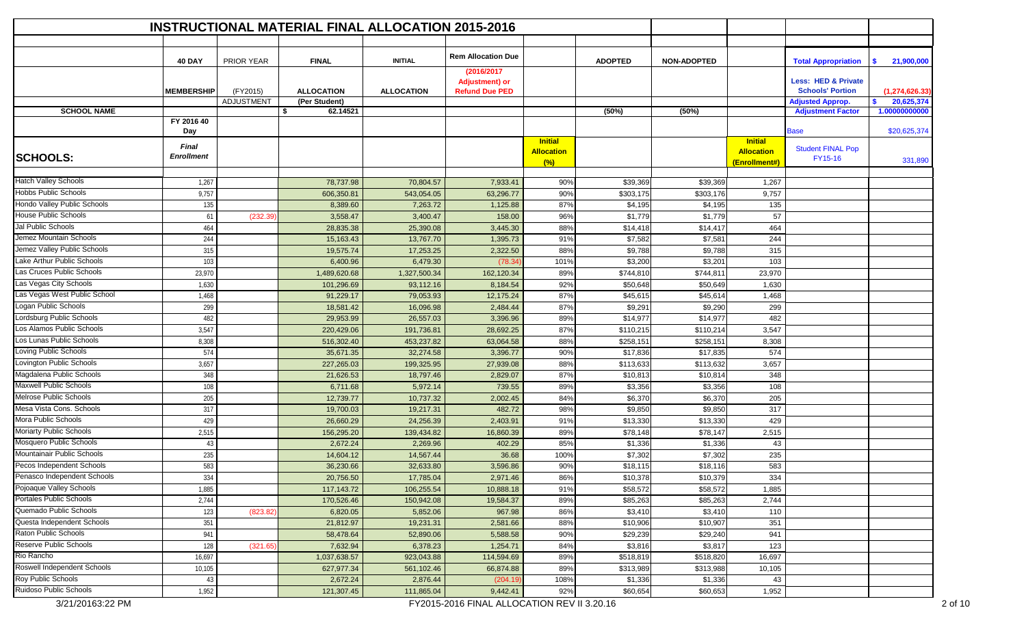|                                            |                                   |                   |                   | <b>INSTRUCTIONAL MATERIAL FINAL ALLOCATION 2015-2016</b> |                                                              |                                            |                |                    |                                                      |                                                           |                    |
|--------------------------------------------|-----------------------------------|-------------------|-------------------|----------------------------------------------------------|--------------------------------------------------------------|--------------------------------------------|----------------|--------------------|------------------------------------------------------|-----------------------------------------------------------|--------------------|
|                                            |                                   |                   |                   |                                                          |                                                              |                                            |                |                    |                                                      |                                                           |                    |
|                                            | <b>40 DAY</b>                     | PRIOR YEAR        | <b>FINAL</b>      | <b>INITIAL</b>                                           | <b>Rem Allocation Due</b>                                    |                                            | <b>ADOPTED</b> | <b>NON-ADOPTED</b> |                                                      | <b>Total Appropriation</b>                                | - \$<br>21,900,000 |
|                                            | <b>MEMBERSHIP</b>                 | (FY2015)          | <b>ALLOCATION</b> | <b>ALLOCATION</b>                                        | (2016/2017<br><b>Adjustment) or</b><br><b>Refund Due PED</b> |                                            |                |                    |                                                      | <b>Less: HED &amp; Private</b><br><b>Schools' Portion</b> | (1, 274, 626.33)   |
|                                            |                                   | <b>ADJUSTMENT</b> | (Per Student)     |                                                          |                                                              |                                            |                |                    |                                                      | <b>Adjusted Approp.</b>                                   | 20,625,374<br>\$.  |
| <b>SCHOOL NAME</b>                         |                                   |                   | \$<br>62.14521    |                                                          |                                                              |                                            | (50%)          | (50%)              |                                                      | <b>Adjustment Factor</b>                                  | 1.00000000000      |
|                                            | FY 2016 40<br>Day                 |                   |                   |                                                          |                                                              |                                            |                |                    |                                                      | <b>Base</b>                                               | \$20,625,374       |
| <b>SCHOOLS:</b>                            | <b>Final</b><br><b>Enrollment</b> |                   |                   |                                                          |                                                              | <b>Initial</b><br><b>Allocation</b><br>(%) |                |                    | <b>Initial</b><br><b>Allocation</b><br>(Enrollment#) | <b>Student FINAL Pop</b><br>FY15-16                       | 331,890            |
| <b>Hatch Valley Schools</b>                | 1,267                             |                   | 78,737.98         | 70,804.57                                                | 7,933.41                                                     | 90%                                        | \$39,369       | \$39,369           | 1,267                                                |                                                           |                    |
| Hobbs Public Schools                       | 9,757                             |                   | 606,350.81        | 543,054.05                                               | 63,296.77                                                    | 90%                                        | \$303,175      | \$303,176          | 9,757                                                |                                                           |                    |
| Hondo Valley Public Schools                | 135                               |                   | 8,389.60          | 7,263.72                                                 | 1,125.88                                                     | 87%                                        | \$4,195        | \$4,195            | 135                                                  |                                                           |                    |
| <b>House Public Schools</b>                | 61                                | (232.39)          | 3,558.47          | 3,400.47                                                 | 158.00                                                       | 96%                                        | \$1,779        | \$1,779            | 57                                                   |                                                           |                    |
| Jal Public Schools                         | 464                               |                   | 28,835.38         | 25,390.08                                                | 3,445.30                                                     | 88%                                        | \$14,418       | \$14,417           | 464                                                  |                                                           |                    |
| Jemez Mountain Schools                     | 244                               |                   | 15,163.43         | 13,767.70                                                | 1,395.73                                                     | 91%                                        | \$7,582        | \$7,581            | 244                                                  |                                                           |                    |
| Jemez Valley Public Schools                | 315                               |                   | 19,575.74         | 17,253.25                                                | 2,322.50                                                     | 88%                                        | \$9,788        | \$9,788            | 315                                                  |                                                           |                    |
| Lake Arthur Public Schools                 | 103                               |                   | 6,400.96          | 6,479.30                                                 | (78.34)                                                      | 101%                                       | \$3,200        | \$3,201            | 103                                                  |                                                           |                    |
| Las Cruces Public Schools                  | 23,970                            |                   | 1,489,620.68      | 1,327,500.34                                             | 162,120.34                                                   | 89%                                        | \$744,810      | \$744,811          | 23,970                                               |                                                           |                    |
| Las Vegas City Schools                     | 1,630                             |                   | 101,296.69        | 93,112.16                                                | 8,184.54                                                     | 92%                                        | \$50,648       | \$50,649           | 1,630                                                |                                                           |                    |
| Las Vegas West Public School               | 1,468                             |                   | 91,229.17         | 79,053.93                                                | 12,175.24                                                    | 87%                                        | \$45,615       | \$45,614           | 1,468                                                |                                                           |                    |
| Logan Public Schools                       | 299                               |                   | 18,581.42         | 16,096.98                                                | 2,484.44                                                     | 87%                                        | \$9,291        | \$9,290            | 299                                                  |                                                           |                    |
| Lordsburg Public Schools                   | 482                               |                   | 29,953.99         | 26,557.03                                                | 3,396.96                                                     | 89%                                        | \$14,977       | \$14,977           | 482                                                  |                                                           |                    |
| Los Alamos Public Schools                  | 3,547                             |                   | 220,429.06        | 191,736.81                                               | 28,692.25                                                    | 87%                                        | \$110,215      | \$110,214          | 3,547                                                |                                                           |                    |
| Los Lunas Public Schools                   | 8,308                             |                   | 516,302.40        | 453,237.82                                               | 63,064.58                                                    | 88%                                        | \$258,151      | \$258,151          | 8,308                                                |                                                           |                    |
| Loving Public Schools                      | 574                               |                   | 35,671.35         | 32,274.58                                                | 3,396.77                                                     | 90%                                        | \$17,836       | \$17,835           | 574                                                  |                                                           |                    |
| Lovington Public Schools                   | 3,657                             |                   | 227,265.03        | 199,325.95                                               | 27,939.08                                                    | 88%                                        | \$113,633      | \$113,632          | 3,657                                                |                                                           |                    |
| Magdalena Public Schools                   | 348                               |                   | 21,626.53         | 18,797.46                                                | 2,829.07                                                     | 87%                                        | \$10,813       | \$10,814           | 348                                                  |                                                           |                    |
| <b>Maxwell Public Schools</b>              | 108                               |                   | 6,711.68          | 5,972.14                                                 | 739.55                                                       | 89%                                        | \$3,356        | \$3,356            | 108                                                  |                                                           |                    |
| Melrose Public Schools                     | 205                               |                   | 12,739.77         | 10,737.32                                                | 2,002.45                                                     | 84%                                        | \$6,370        | \$6,370            | 205                                                  |                                                           |                    |
| Mesa Vista Cons. Schools                   | 317                               |                   | 19,700.03         | 19,217.31                                                | 482.72                                                       | 98%                                        | \$9,850        | \$9,850            | 317                                                  |                                                           |                    |
| Mora Public Schools                        | 429                               |                   | 26,660.29         | 24,256.39                                                | 2,403.91                                                     | 91%                                        | \$13,330       | \$13,330           | 429                                                  |                                                           |                    |
| Moriarty Public Schools                    | 2,515                             |                   | 156,295.20        | 139,434.82                                               | 16,860.39                                                    | 89%                                        | \$78,148       | \$78,147           | 2,515                                                |                                                           |                    |
| Mosquero Public Schools                    | 43                                |                   | 2,672.24          | 2,269.96                                                 | 402.29                                                       | 85%                                        | \$1,336        | \$1,336            | 43                                                   |                                                           |                    |
| Mountainair Public Schools                 | 235                               |                   | 14,604.12         | 14,567.44                                                | 36.68                                                        | 100%                                       | \$7,302        | \$7,302            | 235                                                  |                                                           |                    |
| Pecos Independent Schools                  | 583                               |                   | 36,230.66         | 32,633.80                                                | 3,596.86                                                     | 90%                                        | \$18,115       | \$18,116           | 583                                                  |                                                           |                    |
| Penasco Independent Schools                | 334                               |                   | 20,756.50         | 17,785.04                                                | 2,971.46                                                     | 86%                                        | \$10,378       | \$10,379           | 334                                                  |                                                           |                    |
| Pojoaque Valley Schools                    | 1,885                             |                   | 117,143.72        | 106,255.54                                               | 10,888.18                                                    | 91%                                        | \$58,572       | \$58,572           | 1,885                                                |                                                           |                    |
| <b>Portales Public Schools</b>             | 2,744                             |                   | 170,526.46        | 150,942.08                                               | 19,584.37                                                    | 89%                                        | \$85,263       | \$85,263           | 2,744                                                |                                                           |                    |
| Quemado Public Schools                     | 123                               | (823.82)          | 6,820.05          | 5,852.06                                                 | 967.98                                                       | 86%                                        | \$3,410        | \$3,410            | 110                                                  |                                                           |                    |
| Questa Independent Schools                 | 351                               |                   | 21,812.97         | 19,231.31                                                | 2,581.66                                                     | 88%                                        | \$10,906       | \$10,907           | 351                                                  |                                                           |                    |
| Raton Public Schools                       | 941                               |                   | 58,478.64         | 52,890.06                                                | 5,588.58                                                     | 90%                                        | \$29,239       | \$29,240           | 941                                                  |                                                           |                    |
| <b>Reserve Public Schools</b>              | 128                               | (321.65)          | 7,632.94          | 6,378.23                                                 | 1,254.71                                                     | 84%                                        | \$3,816        | \$3,817            | 123                                                  |                                                           |                    |
| Rio Rancho                                 | 16,697                            |                   | 1,037,638.57      | 923,043.88                                               | 114,594.69                                                   | 89%                                        | \$518,819      | \$518,820          | 16,697                                               |                                                           |                    |
| Roswell Independent Schools                | 10,105                            |                   | 627,977.34        | 561,102.46                                               | 66,874.88                                                    | 89%                                        | \$313,989      | \$313,988          | 10,105                                               |                                                           |                    |
| Roy Public Schools                         | 43                                |                   | 2,672.24          | 2,876.44                                                 | (204.19                                                      | 108%                                       | \$1,336        | \$1,336            | 43                                                   |                                                           |                    |
| Ruidoso Public Schools<br>3/21/20163:22 PM | 1,952                             |                   | 121,307.45        | 111,865.04                                               | 9,442.41<br>FY2015-2016 FINAL ALLOCATION REV II 3.20.16      | 92%                                        | \$60,654       | \$60,653           | 1,952                                                |                                                           |                    |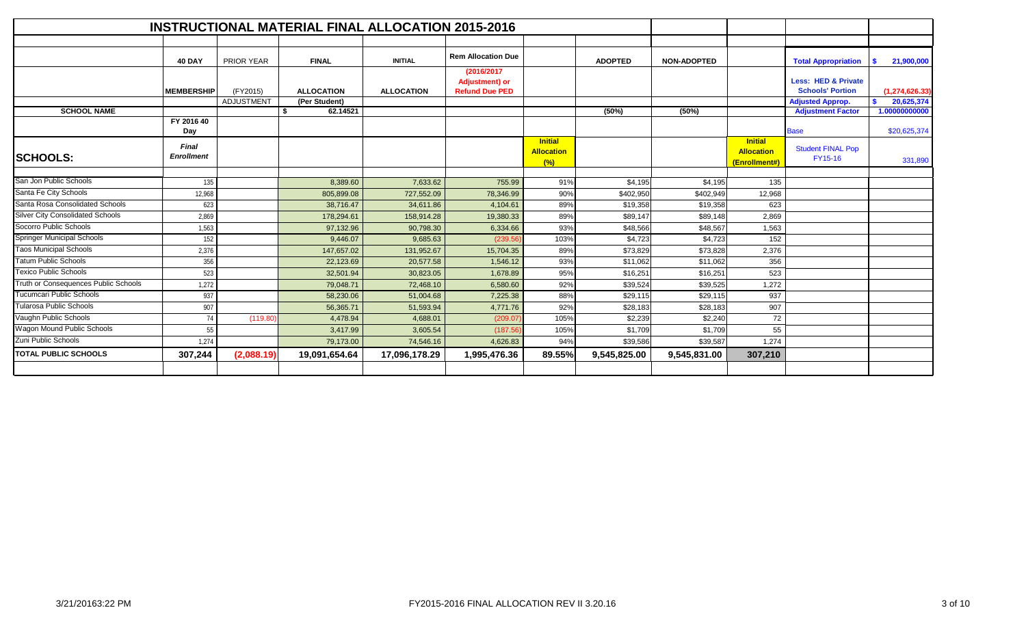|                                         |                                   |                   | <b>INSTRUCTIONAL MATERIAL FINAL ALLOCATION 2015-2016</b> |                   |                                                               |                                            |                |                    |                                                      |                                                           |                  |
|-----------------------------------------|-----------------------------------|-------------------|----------------------------------------------------------|-------------------|---------------------------------------------------------------|--------------------------------------------|----------------|--------------------|------------------------------------------------------|-----------------------------------------------------------|------------------|
|                                         |                                   |                   |                                                          |                   |                                                               |                                            |                |                    |                                                      |                                                           |                  |
|                                         | <b>40 DAY</b>                     | <b>PRIOR YEAR</b> | <b>FINAL</b>                                             | <b>INITIAL</b>    | <b>Rem Allocation Due</b>                                     |                                            | <b>ADOPTED</b> | <b>NON-ADOPTED</b> |                                                      | <b>Total Appropriation</b>                                | 21,900,000       |
|                                         | <b>MEMBERSHIP</b>                 | (FY2015)          | <b>ALLOCATION</b>                                        | <b>ALLOCATION</b> | (2016/2017)<br><b>Adjustment)</b> or<br><b>Refund Due PED</b> |                                            |                |                    |                                                      | <b>Less: HED &amp; Private</b><br><b>Schools' Portion</b> | (1, 274, 626.33) |
|                                         |                                   | <b>ADJUSTMENT</b> | (Per Student)                                            |                   |                                                               |                                            |                |                    |                                                      | <b>Adjusted Approp.</b>                                   | 20,625,374<br>s. |
| <b>SCHOOL NAME</b>                      |                                   |                   | \$<br>62.14521                                           |                   |                                                               |                                            | (50%)          | (50%)              |                                                      | <b>Adjustment Factor</b>                                  | 1.00000000000    |
|                                         | FY 2016 40<br>Day                 |                   |                                                          |                   |                                                               |                                            |                |                    |                                                      | <b>Base</b>                                               | \$20,625,374     |
| <b>SCHOOLS:</b>                         | <b>Final</b><br><b>Enrollment</b> |                   |                                                          |                   |                                                               | <b>Initial</b><br><b>Allocation</b><br>(%) |                |                    | <b>Initial</b><br><b>Allocation</b><br>(Enrollment#) | <b>Student FINAL Pop</b><br>FY15-16                       | 331,890          |
|                                         |                                   |                   |                                                          |                   |                                                               |                                            |                |                    |                                                      |                                                           |                  |
| San Jon Public Schools                  | 135                               |                   | 8,389.60                                                 | 7,633.62          | 755.99                                                        | 91%                                        | \$4,195        | \$4,195            | 135                                                  |                                                           |                  |
| Santa Fe City Schools                   | 12,968                            |                   | 805,899.08                                               | 727,552.09        | 78,346.99                                                     | 90%                                        | \$402,950      | \$402,949          | 12,968                                               |                                                           |                  |
| Santa Rosa Consolidated Schools         | 623                               |                   | 38,716.47                                                | 34,611.86         | 4,104.61                                                      | 89%                                        | \$19,358       | \$19,358           | 623                                                  |                                                           |                  |
| <b>Silver City Consolidated Schools</b> | 2,869                             |                   | 178,294.61                                               | 158,914.28        | 19,380.33                                                     | 89%                                        | \$89,147       | \$89,148           | 2,869                                                |                                                           |                  |
| Socorro Public Schools                  | 1,563                             |                   | 97,132.96                                                | 90,798.30         | 6,334.66                                                      | 93%                                        | \$48,566       | \$48,567           | 1,563                                                |                                                           |                  |
| <b>Springer Municipal Schools</b>       | 152                               |                   | 9,446.07                                                 | 9,685.63          | (239.56)                                                      | 103%                                       | \$4,723        | \$4,723            | 152                                                  |                                                           |                  |
| <b>Taos Municipal Schools</b>           | 2,376                             |                   | 147,657.02                                               | 131,952.67        | 15,704.35                                                     | 89%                                        | \$73,829       | \$73,828           | 2,376                                                |                                                           |                  |
| <b>Tatum Public Schools</b>             | 356                               |                   | 22,123.69                                                | 20,577.58         | 1,546.12                                                      | 93%                                        | \$11,062       | \$11,062           | 356                                                  |                                                           |                  |
| <b>Texico Public Schools</b>            | 523                               |                   | 32,501.94                                                | 30,823.05         | 1,678.89                                                      | 95%                                        | \$16,251       | \$16,251           | 523                                                  |                                                           |                  |
| Truth or Consequences Public Schools    | 1,272                             |                   | 79,048.71                                                | 72,468.10         | 6,580.60                                                      | 92%                                        | \$39,524       | \$39,525           | 1,272                                                |                                                           |                  |
| Tucumcari Public Schools                | 937                               |                   | 58,230.06                                                | 51,004.68         | 7,225.38                                                      | 88%                                        | \$29,115       | \$29,115           | 937                                                  |                                                           |                  |
| <b>Tularosa Public Schools</b>          | 907                               |                   | 56,365.71                                                | 51,593.94         | 4,771.76                                                      | 92%                                        | \$28,183       | \$28,183           | 907                                                  |                                                           |                  |
| Vaughn Public Schools                   | 74                                | (119.80)          | 4,478.94                                                 | 4,688.01          | (209.07                                                       | 105%                                       | \$2,239        | \$2,240            | 72                                                   |                                                           |                  |
| Wagon Mound Public Schools              | 55                                |                   | 3,417.99                                                 | 3,605.54          | (187.56)                                                      | 105%                                       | \$1,709        | \$1,709            | 55                                                   |                                                           |                  |
| Zuni Public Schools                     | 1.274                             |                   | 79,173.00                                                | 74,546.16         | 4,626.83                                                      | 94%                                        | \$39,586       | \$39,587           | 1,274                                                |                                                           |                  |
| <b>TOTAL PUBLIC SCHOOLS</b>             | 307,244                           | (2,088.19)        | 19,091,654.64                                            | 17,096,178.29     | 1,995,476.36                                                  | 89.55%                                     | 9,545,825.00   | 9,545,831.00       | 307,210                                              |                                                           |                  |
|                                         |                                   |                   |                                                          |                   |                                                               |                                            |                |                    |                                                      |                                                           |                  |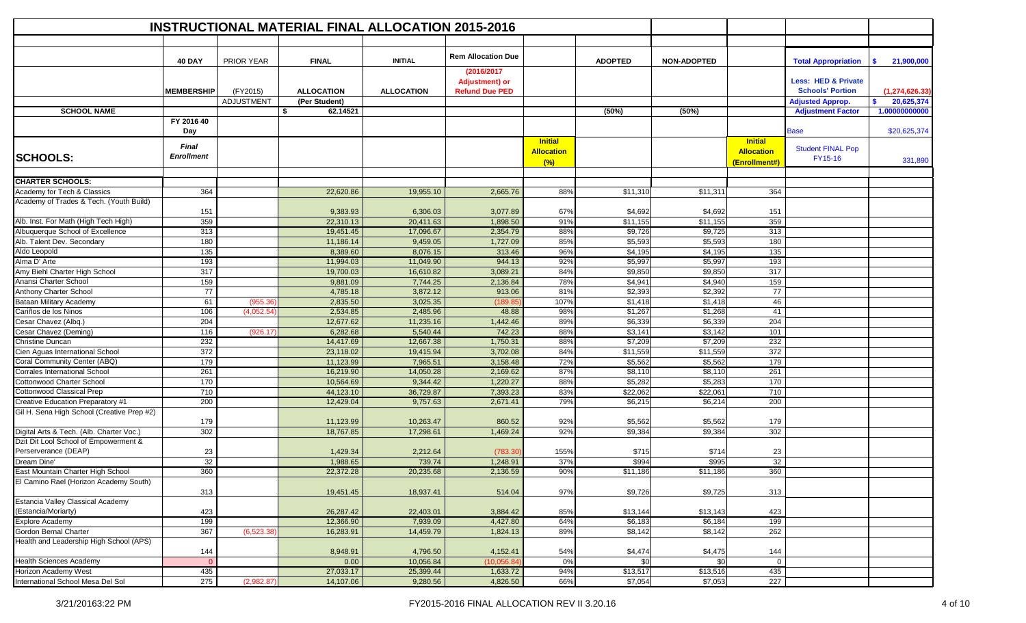|                                                        |                            |             | <b>INSTRUCTIONAL MATERIAL FINAL ALLOCATION 2015-2016</b> |                      |                                                               |                                            |                    |                    |                                                      |                                                           |                  |
|--------------------------------------------------------|----------------------------|-------------|----------------------------------------------------------|----------------------|---------------------------------------------------------------|--------------------------------------------|--------------------|--------------------|------------------------------------------------------|-----------------------------------------------------------|------------------|
|                                                        |                            |             |                                                          |                      |                                                               |                                            |                    |                    |                                                      |                                                           |                  |
|                                                        | <b>40 DAY</b>              | PRIOR YEAR  | <b>FINAL</b>                                             | <b>INITIAL</b>       | <b>Rem Allocation Due</b>                                     |                                            | <b>ADOPTED</b>     | <b>NON-ADOPTED</b> |                                                      | <b>Total Appropriation</b>                                | 21,900,000<br>s. |
|                                                        | <b>MEMBERSHIP</b>          | (FY2015)    | <b>ALLOCATION</b>                                        | <b>ALLOCATION</b>    | (2016/2017)<br><b>Adjustment) or</b><br><b>Refund Due PED</b> |                                            |                    |                    |                                                      | <b>Less: HED &amp; Private</b><br><b>Schools' Portion</b> | (1, 274, 626.33) |
|                                                        |                            | ADJUSTMENT  | (Per Student)                                            |                      |                                                               |                                            |                    |                    |                                                      | <b>Adjusted Approp.</b>                                   | 20,625,374<br>\$ |
| <b>SCHOOL NAME</b>                                     |                            |             | \$<br>62.14521                                           |                      |                                                               |                                            | (50%)              | (50%)              |                                                      | <b>Adjustment Factor</b>                                  | 1.00000000000    |
|                                                        | FY 2016 40<br>Day          |             |                                                          |                      |                                                               |                                            |                    |                    |                                                      | <b>Base</b>                                               | \$20,625,374     |
| <b>SCHOOLS:</b>                                        | Final<br><b>Enrollment</b> |             |                                                          |                      |                                                               | <b>Initial</b><br><b>Allocation</b><br>(%) |                    |                    | <b>Initial</b><br><b>Allocation</b><br>(Enrollment#) | <b>Student FINAL Pop</b><br>FY15-16                       | 331,890          |
| <b>CHARTER SCHOOLS:</b>                                |                            |             |                                                          |                      |                                                               |                                            |                    |                    |                                                      |                                                           |                  |
| Academy for Tech & Classics                            | 364                        |             | 22,620.86                                                | 19,955.10            | 2,665.76                                                      | 88%                                        | \$11,310           | \$11,311           | 364                                                  |                                                           |                  |
| Academy of Trades & Tech. (Youth Build)                |                            |             |                                                          |                      |                                                               |                                            |                    |                    |                                                      |                                                           |                  |
|                                                        | 151                        |             | 9,383.93                                                 | 6,306.03             | 3,077.89                                                      | 67%                                        | \$4,692            | \$4,692            | 151                                                  |                                                           |                  |
| Alb. Inst. For Math (High Tech High)                   | 359                        |             | 22,310.13                                                | 20,411.63            | 1,898.50                                                      | 91%                                        | \$11,155           | \$11,155           | 359                                                  |                                                           |                  |
| Albuquerque School of Excellence                       | 313                        |             | 19,451.45                                                | 17,096.67            | 2,354.79                                                      | 88%                                        | \$9,726            | \$9,725            | 313                                                  |                                                           |                  |
| Alb. Talent Dev. Secondary                             | 180                        |             | 11,186.14                                                | 9,459.05             | 1,727.09                                                      | 85%                                        | \$5,593            | \$5,593            | 180                                                  |                                                           |                  |
| Aldo Leopold                                           | 135                        |             | 8,389.60                                                 | 8,076.15             | 313.46                                                        | 96%                                        | \$4,195            | \$4,195            | $\overline{135}$                                     |                                                           |                  |
| Alma D' Arte                                           | 193<br>317                 |             | 11,994.03                                                | 11,049.90            | 944.13<br>3,089.21                                            | 92%<br>84%                                 | \$5,997            | \$5,997            | 193<br>317                                           |                                                           |                  |
| Amy Biehl Charter High School<br>Anansi Charter School |                            |             | 19,700.03                                                | 16,610.82            |                                                               |                                            | \$9,850            | \$9,850            |                                                      |                                                           |                  |
| <b>Anthony Charter School</b>                          | 159<br>77                  |             | 9,881.09<br>4,785.18                                     | 7,744.25<br>3,872.12 | 2,136.84<br>913.06                                            | 78%<br>81%                                 | \$4,941<br>\$2,393 | \$4,940<br>\$2,392 | 159<br>77                                            |                                                           |                  |
| Bataan Military Academy                                | 61                         | (955.36)    | 2,835.50                                                 | 3,025.35             | (189.8)                                                       | 107%                                       | \$1,418            | \$1,418            | 46                                                   |                                                           |                  |
| Cariños de los Ninos                                   | 106                        | (4,052.54)  | 2,534.85                                                 | 2,485.96             | 48.88                                                         | 98%                                        | \$1,267            | \$1,268            | 41                                                   |                                                           |                  |
| Cesar Chavez (Albq.)                                   | 204                        |             | 12,677.62                                                | 11,235.16            | 1,442.46                                                      | 89%                                        | \$6,339            | \$6,339            | 204                                                  |                                                           |                  |
| Cesar Chavez (Deming)                                  | 116                        | (926.17)    | 6,282.68                                                 | 5,540.44             | 742.23                                                        | 88%                                        | \$3,141            | \$3,142            | 101                                                  |                                                           |                  |
| <b>Christine Duncan</b>                                | 232                        |             | 14,417.69                                                | 12,667.38            | 1,750.31                                                      | 88%                                        | \$7,209            | \$7,209            | 232                                                  |                                                           |                  |
| Cien Aguas International School                        | 372                        |             | 23,118.02                                                | 19,415.94            | 3,702.08                                                      | 84%                                        | \$11,559           | \$11,559           | 372                                                  |                                                           |                  |
| Coral Community Center (ABQ)                           | 179                        |             | 11,123.99                                                | 7,965.51             | 3,158.48                                                      | 72%                                        | \$5,562            | \$5,562            | 179                                                  |                                                           |                  |
| <b>Corrales International School</b>                   | 261                        |             | 16,219.90                                                | 14,050.28            | 2,169.62                                                      | 87%                                        | \$8,110            | \$8,110            | 261                                                  |                                                           |                  |
| <b>Cottonwood Charter School</b>                       | 170                        |             | 10,564.69                                                | 9,344.42             | 1,220.27                                                      | 88%                                        | \$5,282            | \$5,283            | 170                                                  |                                                           |                  |
| Cottonwood Classical Prep                              | 710                        |             | 44,123.10                                                | 36,729.87            | 7,393.23                                                      | 83%                                        | \$22,062           | \$22,061           | 710                                                  |                                                           |                  |
| Creative Education Preparatory #1                      | 200                        |             | 12,429.04                                                | 9,757.63             | 2,671.41                                                      | 79%                                        | \$6,215            | \$6,214            | 200                                                  |                                                           |                  |
| Gil H. Sena High School (Creative Prep #2)             | 179                        |             | 11,123.99                                                | 10,263.47            | 860.52                                                        | 92%                                        | \$5,562            | \$5,562            | 179                                                  |                                                           |                  |
| Digital Arts & Tech. (Alb. Charter Voc.)               | 302                        |             | 18,767.85                                                | 17,298.61            | 1,469.24                                                      | 92%                                        | \$9,384            | \$9,384            | 302                                                  |                                                           |                  |
| Dzit Dit Lool School of Empowerment &                  |                            |             |                                                          |                      |                                                               |                                            |                    |                    |                                                      |                                                           |                  |
| Perserverance (DEAP)                                   | 23                         |             | 1,429.34                                                 | 2,212.64             | (783.30)                                                      | 155%                                       | \$715              | \$714              | 23                                                   |                                                           |                  |
| Dream Dine'                                            | 32                         |             | 1,988.65                                                 | 739.74               | 1,248.91                                                      | 37%                                        | \$994              | \$995              | 32                                                   |                                                           |                  |
| East Mountain Charter High School                      | 360                        |             | 22.372.28                                                | 20,235.68            | 2,136.59                                                      | 90%                                        | \$11,186           | \$11,186           | 360                                                  |                                                           |                  |
| El Camino Rael (Horizon Academy South)                 | 313                        |             | 19,451.45                                                | 18,937.41            | 514.04                                                        | 97%                                        | \$9,726            | \$9,725            | 313                                                  |                                                           |                  |
| <b>Estancia Valley Classical Academy</b>               |                            |             |                                                          |                      |                                                               |                                            |                    |                    |                                                      |                                                           |                  |
| (Estancia/Moriarty)                                    | 423                        |             | 26,287.42                                                | 22,403.01            | 3,884.42                                                      | 85%                                        | \$13,144           | \$13,143           | 423                                                  |                                                           |                  |
| Explore Academy                                        | 199                        |             | 12,366.90                                                | 7,939.09             | 4,427.80                                                      | 64%                                        | \$6,183            | \$6,184            | 199                                                  |                                                           |                  |
| Gordon Bernal Charter                                  | 367                        | (6, 523.38) | 16,283.91                                                | 14,459.79            | 1,824.13                                                      | 89%                                        | \$8,142            | \$8,142            | 262                                                  |                                                           |                  |
| Health and Leadership High School (APS)                | 144                        |             | 8,948.91                                                 | 4,796.50             | 4,152.41                                                      | 54%                                        | \$4,474            | \$4,475            | 144                                                  |                                                           |                  |
| <b>Health Sciences Academy</b>                         | $\overline{0}$             |             | 0.00                                                     | 10,056.84            | (10,056.8)                                                    | 0%                                         | \$0                | \$0                | $\mathbf 0$                                          |                                                           |                  |
| Horizon Academy West                                   | 435                        |             | 27,033.17                                                | 25,399.44            | 1,633.72                                                      | 94%                                        | \$13,517           | \$13,516           | 435                                                  |                                                           |                  |
| International School Mesa Del Sol                      | 275                        | (2,982.87)  | 14,107.06                                                | 9,280.56             | 4,826.50                                                      | 66%                                        | \$7,054            | \$7,053            | 227                                                  |                                                           |                  |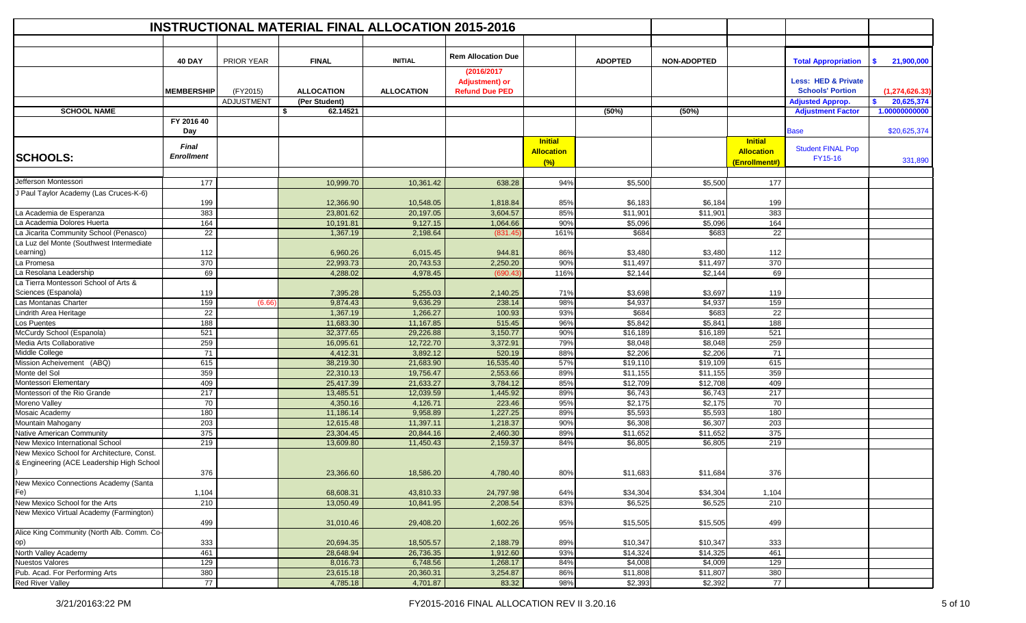|                                                                                         |                                          |                   | <b>INSTRUCTIONAL MATERIAL FINAL ALLOCATION 2015-2016</b> |                   |                                                               |                                            |                |                    |                                                      |                                                           |                         |
|-----------------------------------------------------------------------------------------|------------------------------------------|-------------------|----------------------------------------------------------|-------------------|---------------------------------------------------------------|--------------------------------------------|----------------|--------------------|------------------------------------------------------|-----------------------------------------------------------|-------------------------|
|                                                                                         |                                          |                   |                                                          |                   |                                                               |                                            |                |                    |                                                      |                                                           |                         |
|                                                                                         | <b>40 DAY</b>                            | <b>PRIOR YEAR</b> | <b>FINAL</b>                                             | <b>INITIAL</b>    | <b>Rem Allocation Due</b>                                     |                                            | <b>ADOPTED</b> | <b>NON-ADOPTED</b> |                                                      | <b>Total Appropriation</b>                                | 21,900,000<br>S.        |
|                                                                                         | <b>MEMBERSHIP</b>                        | (FY2015)          | <b>ALLOCATION</b>                                        | <b>ALLOCATION</b> | (2016/2017)<br><b>Adjustment) or</b><br><b>Refund Due PED</b> |                                            |                |                    |                                                      | <b>Less: HED &amp; Private</b><br><b>Schools' Portion</b> | (1, 274, 626.33)        |
|                                                                                         |                                          | <b>ADJUSTMENT</b> | (Per Student)                                            |                   |                                                               |                                            |                |                    |                                                      | <b>Adjusted Approp.</b>                                   | 20,625,374<br>\$.       |
| <b>SCHOOL NAME</b>                                                                      |                                          |                   | \$<br>62.14521                                           |                   |                                                               |                                            | (50%)          | (50%)              |                                                      | <b>Adjustment Factor</b>                                  | 1.00000000000           |
|                                                                                         | FY 2016 40                               |                   |                                                          |                   |                                                               |                                            |                |                    |                                                      |                                                           |                         |
| <b>SCHOOLS:</b>                                                                         | Day<br><b>Final</b><br><b>Enrollment</b> |                   |                                                          |                   |                                                               | <b>Initial</b><br><b>Allocation</b><br>(%) |                |                    | <b>Initial</b><br><b>Allocation</b><br>(Enrollment#) | Base<br><b>Student FINAL Pop</b><br>FY15-16               | \$20,625,374<br>331,890 |
| Jefferson Montessori                                                                    | 177                                      |                   |                                                          |                   |                                                               | 94%                                        |                |                    | 177                                                  |                                                           |                         |
| J Paul Taylor Academy (Las Cruces-K-6)                                                  |                                          |                   | 10,999.70                                                | 10,361.42         | 638.28                                                        |                                            | \$5,500        | \$5,500            |                                                      |                                                           |                         |
|                                                                                         | 199                                      |                   | 12,366.90                                                | 10,548.05         | 1,818.84                                                      | 85%                                        | \$6,183        | \$6,184            | 199                                                  |                                                           |                         |
| La Academia de Esperanza                                                                | 383                                      |                   | 23,801.62                                                | 20,197.05         | 3,604.57                                                      | 85%                                        | \$11,901       | \$11,901           | 383                                                  |                                                           |                         |
| La Academia Dolores Huerta                                                              | 164                                      |                   | 10,191.81                                                | 9,127.15          | 1,064.66                                                      | 90%                                        | \$5,096        | \$5,096            | 164                                                  |                                                           |                         |
| La Jicarita Community School (Penasco)                                                  | 22                                       |                   | 1,367.19                                                 | 2,198.64          | (831.49)                                                      | 161%                                       | \$684          | \$683              | 22                                                   |                                                           |                         |
| La Luz del Monte (Southwest Intermediate<br>Learning)                                   | 112                                      |                   | 6,960.26                                                 | 6,015.45          | 944.81                                                        | 86%                                        | \$3,480        | \$3,480            | 112                                                  |                                                           |                         |
| La Promesa                                                                              | 370                                      |                   | 22,993.73                                                | 20,743.53         | 2,250.20                                                      | 90%                                        | \$11,497       | \$11,497           | 370                                                  |                                                           |                         |
| La Resolana Leadership                                                                  | 69                                       |                   | 4,288.02                                                 | 4,978.45          | (690.43)                                                      | 116%                                       | \$2,144        | \$2,144            | 69                                                   |                                                           |                         |
| La Tierra Montessori School of Arts &<br>Sciences (Espanola)                            | 119                                      |                   | 7,395.28                                                 | 5,255.03          | 2,140.25                                                      | 71%                                        | \$3,698        | \$3,697            | 119                                                  |                                                           |                         |
| Las Montanas Charter                                                                    | 159                                      | (6.66)            | 9,874.43                                                 | 9,636.29          | 238.14                                                        | 98%                                        | \$4,937        | \$4,937            | 159                                                  |                                                           |                         |
| Lindrith Area Heritage                                                                  | 22                                       |                   | 1,367.19                                                 | 1,266.27          | 100.93                                                        | 93%                                        | \$684          | \$683              | 22                                                   |                                                           |                         |
| Los Puentes                                                                             | 188                                      |                   | 11,683.30                                                | 11,167.85         | 515.45                                                        | 96%                                        | \$5,842        | \$5,841            | 188                                                  |                                                           |                         |
| McCurdy School (Espanola)                                                               | 521                                      |                   | 32,377.65                                                | 29,226.88         | 3,150.77                                                      | 90%                                        | \$16,189       | \$16,189           | 521                                                  |                                                           |                         |
| Media Arts Collaborative                                                                | 259                                      |                   | 16,095.61                                                | 12,722.70         | 3,372.91                                                      | 79%                                        | \$8,048        | \$8,048            | 259                                                  |                                                           |                         |
| Middle College                                                                          | 71                                       |                   | 4,412.31                                                 | 3,892.12          | 520.19                                                        | 88%                                        | \$2,206        | \$2,206            | 71                                                   |                                                           |                         |
| Mission Acheivement (ABQ)                                                               | 615                                      |                   | 38,219.30                                                | 21,683.90         | 16,535.40                                                     | 57%                                        | \$19,110       | \$19,109           | 615                                                  |                                                           |                         |
| Monte del Sol                                                                           | 359                                      |                   | 22,310.13                                                | 19,756.47         | 2,553.66                                                      | 89%                                        | \$11,155       | \$11,155           | 359                                                  |                                                           |                         |
| Montessori Elementary                                                                   | 409                                      |                   | 25,417.39                                                | 21,633.27         | 3,784.12                                                      | 85%                                        | \$12,709       | \$12,708           | 409                                                  |                                                           |                         |
| Montessori of the Rio Grande                                                            | 217                                      |                   | 13,485.51                                                | 12,039.59         | 1,445.92                                                      | 89%                                        | \$6,743        | \$6,743            | 217                                                  |                                                           |                         |
| Moreno Valley                                                                           | 70                                       |                   | 4,350.16                                                 | 4,126.71          | 223.46                                                        | 95%                                        | \$2,175        | \$2,175            | 70                                                   |                                                           |                         |
| Mosaic Academy                                                                          | 180                                      |                   | 11,186.14                                                | 9,958.89          | 1,227.25                                                      | 89%                                        | \$5,593        | \$5,593            | 180                                                  |                                                           |                         |
| Mountain Mahogany                                                                       | 203                                      |                   | 12,615.48                                                | 11,397.11         | 1,218.37                                                      | 90%                                        | \$6,308        | \$6,307            | 203                                                  |                                                           |                         |
| Native American Community                                                               | 375                                      |                   | 23,304.45                                                | 20,844.16         | 2,460.30                                                      | 89%                                        | \$11,652       | \$11,652           | 375                                                  |                                                           |                         |
| New Mexico International School                                                         | 219                                      |                   | 13,609.80                                                | 11,450.43         | 2,159.37                                                      | 84%                                        | \$6,805        | \$6,805            | 219                                                  |                                                           |                         |
| New Mexico School for Architecture, Const.<br>& Engineering (ACE Leadership High School | 376                                      |                   | 23,366.60                                                | 18,586.20         | 4,780.40                                                      | 80%                                        | \$11,683       | \$11,684           | 376                                                  |                                                           |                         |
| New Mexico Connections Academy (Santa<br>Fe)                                            | 1,104                                    |                   | 68,608.31                                                | 43,810.33         | 24,797.98                                                     | 64%                                        | \$34,304       | \$34,304           | 1,104                                                |                                                           |                         |
| New Mexico School for the Arts                                                          | 210                                      |                   | 13,050.49                                                | 10,841.95         | 2,208.54                                                      | 83%                                        | \$6,525        | \$6,525            | 210                                                  |                                                           |                         |
| New Mexico Virtual Academy (Farmington)                                                 |                                          |                   |                                                          |                   |                                                               |                                            |                |                    |                                                      |                                                           |                         |
| Alice King Community (North Alb. Comm. Co-                                              | 499                                      |                   | 31,010.46                                                | 29,408.20         | 1,602.26                                                      | 95%                                        | \$15,505       | \$15,505           | 499                                                  |                                                           |                         |
| op)                                                                                     | 333                                      |                   | 20,694.35                                                | 18,505.57         | 2,188.79                                                      | 89%                                        | \$10,347       | \$10,347           | 333                                                  |                                                           |                         |
| North Valley Academy                                                                    | 461                                      |                   | 28,648.94                                                | 26,736.35         | 1,912.60                                                      | 93%                                        | \$14,324       | \$14,325           | 461                                                  |                                                           |                         |
| <b>Nuestos Valores</b>                                                                  | 129                                      |                   | 8,016.73                                                 | 6,748.56          | 1,268.17                                                      | 84%                                        | \$4,008        | \$4,009            | 129                                                  |                                                           |                         |
| Pub. Acad. For Performing Arts                                                          | 380                                      |                   | 23,615.18                                                | 20,360.31         | 3,254.87                                                      | 86%                                        | \$11,808       | \$11,807           | 380                                                  |                                                           |                         |
| <b>Red River Valley</b>                                                                 | 77                                       |                   | 4,785.18                                                 | 4,701.87          | 83.32                                                         | 98%                                        | \$2,393        | \$2,392            | 77                                                   |                                                           |                         |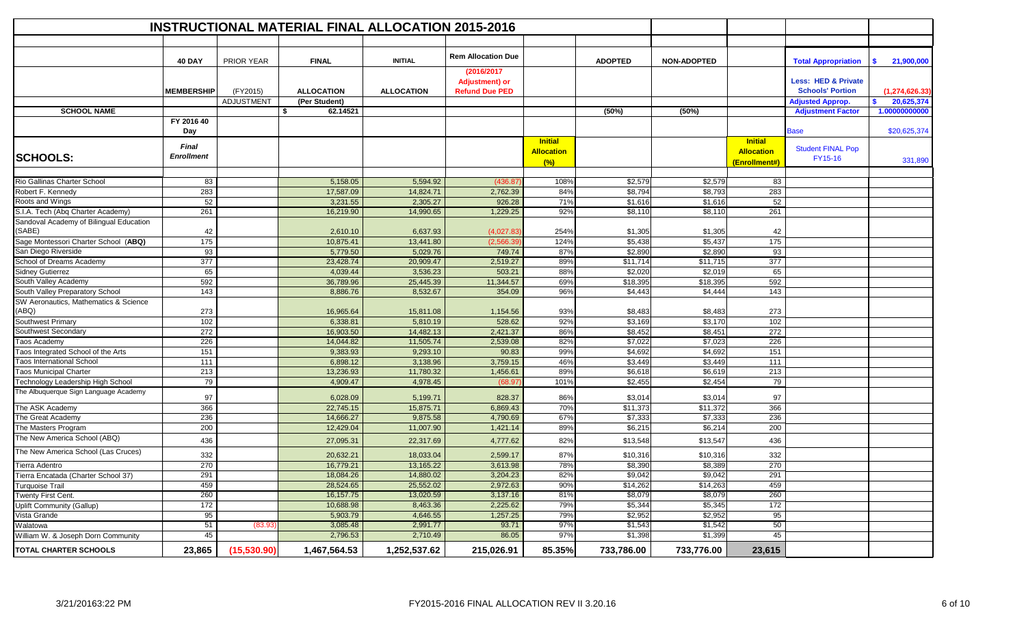|                                                                              |                            |                   | <b>INSTRUCTIONAL MATERIAL FINAL ALLOCATION 2015-2016</b> |                      |                           |                                            |                    |                    |                                                      |                                     |                        |
|------------------------------------------------------------------------------|----------------------------|-------------------|----------------------------------------------------------|----------------------|---------------------------|--------------------------------------------|--------------------|--------------------|------------------------------------------------------|-------------------------------------|------------------------|
|                                                                              |                            |                   |                                                          |                      |                           |                                            |                    |                    |                                                      |                                     |                        |
|                                                                              | <b>40 DAY</b>              | PRIOR YEAR        | <b>FINAL</b>                                             | <b>INITIAL</b>       | <b>Rem Allocation Due</b> |                                            | <b>ADOPTED</b>     | <b>NON-ADOPTED</b> |                                                      | <b>Total Appropriation</b>          | <b>S</b><br>21,900,000 |
|                                                                              |                            |                   |                                                          |                      | (2016/2017)               |                                            |                    |                    |                                                      |                                     |                        |
|                                                                              |                            |                   |                                                          |                      | <b>Adjustment) or</b>     |                                            |                    |                    |                                                      | <b>Less: HED &amp; Private</b>      |                        |
|                                                                              | <b>MEMBERSHIP</b>          | (FY2015)          | <b>ALLOCATION</b>                                        | <b>ALLOCATION</b>    | <b>Refund Due PED</b>     |                                            |                    |                    |                                                      | <b>Schools' Portion</b>             | (1, 274, 626.33)       |
|                                                                              |                            | <b>ADJUSTMENT</b> | (Per Student)                                            |                      |                           |                                            |                    |                    |                                                      | <b>Adjusted Approp.</b>             | 20,625,374<br>s.       |
| <b>SCHOOL NAME</b>                                                           |                            |                   | \$<br>62.14521                                           |                      |                           |                                            | (50%)              | (50%)              |                                                      | <b>Adjustment Factor</b>            | 1.00000000000          |
|                                                                              | FY 2016 40<br>Day          |                   |                                                          |                      |                           |                                            |                    |                    |                                                      | <b>Base</b>                         | \$20,625,374           |
| <b>SCHOOLS:</b>                                                              | Final<br><b>Enrollment</b> |                   |                                                          |                      |                           | <b>Initial</b><br><b>Allocation</b><br>(%) |                    |                    | <b>Initial</b><br><b>Allocation</b><br>(Enrollment#) | <b>Student FINAL Pop</b><br>FY15-16 | 331,890                |
|                                                                              |                            |                   |                                                          |                      |                           |                                            |                    |                    |                                                      |                                     |                        |
| Rio Gallinas Charter School                                                  | 83                         |                   | 5,158.05                                                 | 5,594.92             | (436.87)                  | 108%                                       | \$2,579            | \$2,579            | 83                                                   |                                     |                        |
| Robert F. Kennedy                                                            | 283                        |                   | 17,587.09                                                | 14,824.71            | 2,762.39                  | 84%                                        | \$8,794            | \$8,793            | 283                                                  |                                     |                        |
| Roots and Wings                                                              | 52                         |                   | 3,231.55                                                 | 2,305.27             | 926.28                    | 71%                                        | \$1,616            | \$1,616            | 52                                                   |                                     |                        |
| S.I.A. Tech (Abq Charter Academy)<br>Sandoval Academy of Bilingual Education | 261                        |                   | 16,219.90                                                | 14,990.65            | 1,229.25                  | 92%                                        | \$8,110            | \$8,110            | 261                                                  |                                     |                        |
| (SABE)                                                                       | 42                         |                   | 2,610.10                                                 | 6,637.93             | (4,027.83)                | 254%                                       | \$1,305            | \$1,305            | 42                                                   |                                     |                        |
| Sage Montessori Charter School (ABQ)                                         | 175                        |                   | 10,875.41                                                | 13,441.80            | (2,566)                   | 124%                                       | \$5,438            | \$5,437            | 175                                                  |                                     |                        |
| San Diego Riverside                                                          | 93                         |                   | 5,779.50                                                 | 5,029.76             | 749.74                    | 87%                                        | \$2,890            | \$2,890            | 93                                                   |                                     |                        |
| School of Dreams Academy                                                     | 377                        |                   | 23,428.74                                                | 20,909.47            | 2,519.27                  | 89%                                        | \$11,714           | \$11,715           | 377                                                  |                                     |                        |
| Sidney Gutierrez                                                             | 65                         |                   | 4,039.44                                                 | 3,536.23             | 503.21                    | 88%                                        | \$2,020            | \$2,019            | 65                                                   |                                     |                        |
| South Valley Academy                                                         | 592                        |                   | 36,789.96                                                | 25,445.39            | 11,344.57                 | 69%                                        | \$18,395           | \$18,395           | 592                                                  |                                     |                        |
| South Valley Preparatory School                                              | 143                        |                   | 8,886.76                                                 | 8,532.67             | 354.09                    | 96%                                        | \$4,443            | \$4,444            | 143                                                  |                                     |                        |
| SW Aeronautics, Mathematics & Science                                        |                            |                   |                                                          |                      |                           |                                            |                    |                    |                                                      |                                     |                        |
| (ABQ)                                                                        | 273                        |                   | 16,965.64                                                | 15,811.08            | 1,154.56                  | 93%                                        | \$8,483            | \$8,483            | 273                                                  |                                     |                        |
| Southwest Primary                                                            | 102                        |                   | 6,338.81                                                 | 5,810.19             | 528.62                    | 92%                                        | \$3,169            | \$3,170            | 102                                                  |                                     |                        |
| Southwest Secondary                                                          | 272                        |                   | 16,903.50                                                | 14,482.13            | 2,421.37                  | 86%                                        | \$8,452            | \$8,451            | 272                                                  |                                     |                        |
| Taos Academy                                                                 | 226                        |                   | 14,044.82                                                | 11,505.74            | 2,539.08                  | 82%                                        | \$7,022            | \$7,023            | 226                                                  |                                     |                        |
| Taos Integrated School of the Arts                                           | 151                        |                   | 9,383.93                                                 | 9,293.10             | 90.83                     | 99%                                        | \$4,692            | \$4,692            | 151                                                  |                                     |                        |
| <b>Taos International School</b>                                             | 111                        |                   | 6,898.12                                                 | 3,138.96             | 3,759.15                  | 46%                                        | \$3,449            | \$3,449            | 111                                                  |                                     |                        |
| <b>Taos Municipal Charter</b>                                                | 213                        |                   | 13,236.93                                                | 11,780.32            | 1,456.61                  | 89%                                        | \$6,618            | \$6,619            | 213                                                  |                                     |                        |
| Technology Leadership High School                                            | 79                         |                   | 4,909.47                                                 | 4,978.45             | (68.97)                   | 101%                                       | \$2,455            | \$2,454            | 79                                                   |                                     |                        |
| The Albuquerque Sign Language Academy                                        | 97                         |                   | 6,028.09                                                 | 5,199.71             | 828.37                    | 86%                                        | \$3,014            | \$3,014            | 97                                                   |                                     |                        |
| The ASK Academy                                                              | 366                        |                   | 22,745.15                                                | 15,875.71            | 6,869.43                  | 70%                                        | \$11,373           | \$11,372           | 366                                                  |                                     |                        |
| The Great Academy                                                            | 236                        |                   | 14,666.27                                                | 9,875.58             | 4,790.69                  | 67%                                        | \$7,333            | \$7,333            | 236                                                  |                                     |                        |
| The Masters Program                                                          | 200                        |                   | 12,429.04                                                | 11,007.90            | 1,421.14                  | 89%                                        | \$6,215            | \$6,214            | 200                                                  |                                     |                        |
| The New America School (ABQ)                                                 | 436                        |                   | 27,095.31                                                | 22,317.69            | 4,777.62                  | 82%                                        | \$13,548           | \$13,547           | 436                                                  |                                     |                        |
| The New America School (Las Cruces)                                          | 332                        |                   | 20,632.21                                                | 18,033.04            | 2,599.17                  | 87%                                        | \$10,31            | \$10,316           | 332                                                  |                                     |                        |
| Tierra Adentro                                                               | 270                        |                   | 16,779.21                                                | 13,165.22            | 3,613.98                  | 78%                                        | \$8,390            | \$8,389            | 270                                                  |                                     |                        |
| Tierra Encatada (Charter School 37)                                          | 291                        |                   | 18,084.26                                                | 14,880.02            | 3,204.23                  | 82%                                        | \$9,042            | \$9,042            | 291                                                  |                                     |                        |
| Turquoise Trail                                                              | 459                        |                   | 28,524.65                                                | 25,552.02            | 2,972.63                  | 90%                                        | \$14,262           | \$14,263           | 459                                                  |                                     |                        |
| Twenty First Cent.                                                           | 260<br>172                 |                   | 16, 157. 75                                              | 13,020.59            | 3,137.16<br>2,225.62      | 81%                                        | \$8,079            | \$8,079            | 260<br>172                                           |                                     |                        |
| Uplift Community (Gallup)                                                    |                            |                   | 10,688.98                                                | 8,463.36<br>4,646.55 | 1,257.25                  | 79%                                        | \$5,344            | \$5,345<br>\$2,952 |                                                      |                                     |                        |
| Vista Grande<br>Walatowa                                                     | 95<br>51                   | (83.93)           | 5,903.79<br>3,085.48                                     | 2,991.77             | 93.71                     | 79%<br>97%                                 | \$2,952<br>\$1,543 | \$1,542            | 95<br>50                                             |                                     |                        |
| William W. & Joseph Dorn Community                                           | 45                         |                   | 2,796.53                                                 | 2,710.49             | 86.05                     | 97%                                        | \$1,398            | \$1,399            | 45                                                   |                                     |                        |
|                                                                              |                            |                   |                                                          |                      |                           |                                            |                    |                    |                                                      |                                     |                        |
| TOTAL CHARTER SCHOOLS                                                        | 23,865                     | (15,530.90)       | 1,467,564.53                                             | 1,252,537.62         | 215,026.91                | 85.35%                                     | 733,786.00         | 733,776.00         | 23,615                                               |                                     |                        |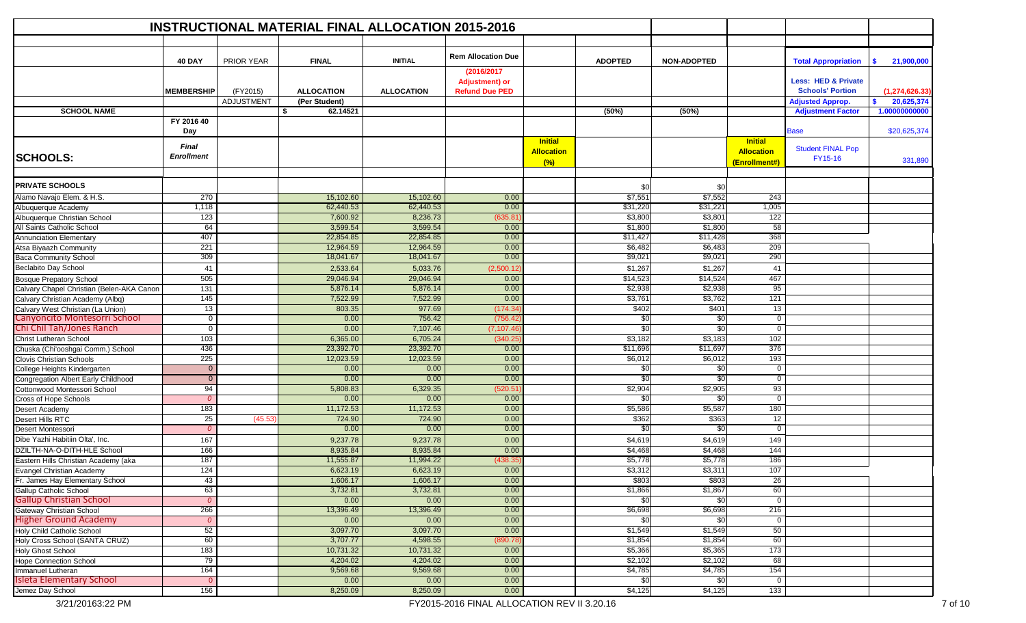|                                                                   |                            |                               | <b>INSTRUCTIONAL MATERIAL FINAL ALLOCATION 2015-2016</b> |                       |                                                               |                                            |                     |                      |                                                      |                                                                                      |                  |
|-------------------------------------------------------------------|----------------------------|-------------------------------|----------------------------------------------------------|-----------------------|---------------------------------------------------------------|--------------------------------------------|---------------------|----------------------|------------------------------------------------------|--------------------------------------------------------------------------------------|------------------|
|                                                                   |                            |                               |                                                          |                       |                                                               |                                            |                     |                      |                                                      |                                                                                      |                  |
|                                                                   | <b>40 DAY</b>              | <b>PRIOR YEAR</b>             | <b>FINAL</b>                                             | <b>INITIAL</b>        | <b>Rem Allocation Due</b>                                     |                                            | <b>ADOPTED</b>      | <b>NON-ADOPTED</b>   |                                                      | <b>Total Appropriation</b>                                                           | 21,900,000<br>S. |
|                                                                   | <b>MEMBERSHIP</b>          | (FY2015)<br><b>ADJUSTMENT</b> | <b>ALLOCATION</b><br>(Per Student)                       | <b>ALLOCATION</b>     | (2016/2017)<br><b>Adjustment) or</b><br><b>Refund Due PED</b> |                                            |                     |                      |                                                      | <b>Less: HED &amp; Private</b><br><b>Schools' Portion</b><br><b>Adjusted Approp.</b> | (1, 274, 626.33) |
|                                                                   |                            |                               |                                                          |                       |                                                               |                                            |                     |                      |                                                      |                                                                                      | 20,625,374<br>\$ |
| <b>SCHOOL NAME</b>                                                |                            |                               | Ŝ.<br>62.14521                                           |                       |                                                               |                                            | (50%)               | (50%)                |                                                      | <b>Adjustment Factor</b>                                                             | 1.00000000000    |
|                                                                   | FY 2016 40<br>Day          |                               |                                                          |                       |                                                               |                                            |                     |                      |                                                      | <b>Base</b>                                                                          | \$20,625,374     |
| <b>SCHOOLS:</b>                                                   | Final<br><b>Enrollment</b> |                               |                                                          |                       |                                                               | <b>Initial</b><br><b>Allocation</b><br>(%) |                     |                      | <b>Initial</b><br><b>Allocation</b><br>(Enrollment#) | <b>Student FINAL Pop</b><br>FY15-16                                                  | 331,890          |
| <b>PRIVATE SCHOOLS</b>                                            |                            |                               |                                                          |                       |                                                               |                                            |                     |                      |                                                      |                                                                                      |                  |
|                                                                   |                            |                               |                                                          |                       |                                                               |                                            | \$0                 | \$0                  |                                                      |                                                                                      |                  |
| Alamo Navajo Elem. & H.S.                                         | 270                        |                               | 15,102.60                                                | 15,102.60             | 0.00                                                          |                                            | \$7,551             | \$7,552              | 243                                                  |                                                                                      |                  |
| Albuquerque Academy                                               | 1,118                      |                               | 62,440.53                                                | 62,440.53             | 0.00                                                          |                                            | \$31,220            | \$31,221             | 1,005                                                |                                                                                      |                  |
| Albuquerque Christian School                                      | 123                        |                               | 7,600.92                                                 | 8,236.73              | 635.8                                                         |                                            | \$3,800             | \$3,801              | 122                                                  |                                                                                      |                  |
| All Saints Catholic School                                        | 64<br>407                  |                               | 3,599.54<br>22,854.85                                    | 3,599.54<br>22,854.85 | 0.00<br>0.00                                                  |                                            | \$1,800<br>\$11,427 | \$1,800<br>\$11,428  | 58<br>368                                            |                                                                                      |                  |
| Annunciation Elementary                                           | 221                        |                               | 12,964.59                                                | 12,964.59             |                                                               |                                            |                     |                      | 209                                                  |                                                                                      |                  |
| Atsa Biyaazh Community<br><b>Baca Community School</b>            | 309                        |                               | 18,041.67                                                | 18,041.67             | 0.00<br>0.00                                                  |                                            | \$6,482<br>\$9,021  | \$6,483<br>\$9,021   | 290                                                  |                                                                                      |                  |
|                                                                   |                            |                               |                                                          |                       |                                                               |                                            |                     |                      |                                                      |                                                                                      |                  |
| Beclabito Day School                                              | 41                         |                               | 2,533.64                                                 | 5,033.76              | (2,500.12)                                                    |                                            | \$1,267             | \$1,267              | 41                                                   |                                                                                      |                  |
| <b>Bosque Prepatory School</b>                                    | 505                        |                               | 29,046.94                                                | 29,046.94             | 0.00                                                          |                                            | \$14,523            | \$14,524             | 467                                                  |                                                                                      |                  |
| Calvary Chapel Christian (Belen-AKA Canon                         | 131                        |                               | 5,876.14                                                 | 5,876.14              | 0.00                                                          |                                            | \$2,938             | \$2,938              | 95                                                   |                                                                                      |                  |
| Calvary Christian Academy (Albq)                                  | 145                        |                               | 7,522.99                                                 | 7,522.99              | 0.00                                                          |                                            | \$3,761<br>\$402    | \$3,762              | 121                                                  |                                                                                      |                  |
| Calvary West Christian (La Union)<br>Canyoncito Montesorri School | 13<br>0                    |                               | 803.35                                                   | 977.69<br>756.42      | (174.3                                                        |                                            |                     | \$401<br>$\sqrt{50}$ | 13<br>$\mathbf 0$                                    |                                                                                      |                  |
| Chi Chil Tah/Jones Ranch                                          | $\mathbf{0}$               |                               | 0.00<br>0.00                                             | 7,107.46              | (756.4)<br>(7,107.46                                          |                                            | \$0<br>\$0          | \$0                  | $\mathbf 0$                                          |                                                                                      |                  |
| Christ Lutheran School                                            | 103                        |                               | 6,365.00                                                 | 6,705.24              | (340.2)                                                       |                                            | \$3,182             | \$3,183              | 102                                                  |                                                                                      |                  |
| Chuska (Chi'ooshgai Comm.) School                                 | 436                        |                               | 23,392.70                                                | 23,392.70             | 0.00                                                          |                                            | \$11,696            | \$11,697             | 376                                                  |                                                                                      |                  |
| <b>Clovis Christian Schools</b>                                   | 225                        |                               | 12,023.59                                                | 12,023.59             | 0.00                                                          |                                            | \$6,012             | \$6,012              | 193                                                  |                                                                                      |                  |
| College Heights Kindergarten                                      | $\mathbf{0}$               |                               | 0.00                                                     | 0.00                  | 0.00                                                          |                                            | \$0                 | \$0                  | $\mathbf 0$                                          |                                                                                      |                  |
| Congregation Albert Early Childhood                               | $\mathbf{0}$               |                               | 0.00                                                     | 0.00                  | 0.00                                                          |                                            | \$0                 | \$0                  | $\mathbf 0$                                          |                                                                                      |                  |
| Cottonwood Montessori School                                      | 94                         |                               | 5,808.83                                                 | 6,329.35              | 520.51                                                        |                                            | \$2,904             | \$2,905              | 93                                                   |                                                                                      |                  |
| <b>Cross of Hope Schools</b>                                      | $\overline{0}$             |                               | 0.00                                                     | 0.00                  | 0.00                                                          |                                            | \$0                 | \$0                  | $\mathbf{0}$                                         |                                                                                      |                  |
| Desert Academy                                                    | 183                        |                               | 11,172.53                                                | 11,172.53             | 0.00                                                          |                                            | \$5,586             | \$5,587              | 180                                                  |                                                                                      |                  |
| Desert Hills RTC                                                  | 25                         | (45.53)                       | 724.90                                                   | 724.90                | 0.00                                                          |                                            | \$362               | \$363                | 12                                                   |                                                                                      |                  |
| Desert Montessori                                                 | $\mathcal{O}$              |                               | 0.00                                                     | 0.00                  | 0.00                                                          |                                            | \$0                 | \$0                  | $\overline{0}$                                       |                                                                                      |                  |
| Dibe Yazhi Habitiin Olta', Inc.                                   | 167                        |                               | 9,237.78                                                 | 9,237.78              | 0.00                                                          |                                            | \$4,619             | \$4,619              | 149                                                  |                                                                                      |                  |
| DZILTH-NA-O-DITH-HLE School                                       | 166                        |                               | 8,935.84                                                 | 8,935.84              | 0.00                                                          |                                            | \$4,468             | \$4,468              | 144                                                  |                                                                                      |                  |
| Eastern Hills Christian Academy (aka                              | 187                        |                               | 11,555.87                                                | 11,994.22             | (438.35                                                       |                                            | \$5,778             | \$5,778              | 186                                                  |                                                                                      |                  |
| Evangel Christian Academy                                         | 124                        |                               | 6,623.19                                                 | 6,623.19              | 0.00                                                          |                                            | \$3,312             | \$3,311              | 107                                                  |                                                                                      |                  |
| Fr. James Hay Elementary School                                   | 43                         |                               | 1,606.17                                                 | 1,606.17              | 0.00                                                          |                                            | \$803               | \$803                | $\overline{26}$                                      |                                                                                      |                  |
| Gallup Catholic School                                            | 63                         |                               | 3,732.81                                                 | 3,732.81              | 0.00                                                          |                                            | \$1,866             | \$1,867              | 60                                                   |                                                                                      |                  |
| <b>Gallup Christian School</b>                                    | $\mathcal{O}$              |                               | 0.00                                                     | 0.00                  | 0.00                                                          |                                            | $\frac{1}{30}$      | \$0                  | $\mathbf 0$                                          |                                                                                      |                  |
| <b>Gateway Christian School</b>                                   | 266                        |                               | 13,396.49                                                | 13,396.49             | 0.00                                                          |                                            | \$6,698             | \$6,698              | 216                                                  |                                                                                      |                  |
| <b>Higher Ground Academy</b>                                      | $\mathcal{O}$              |                               | 0.00                                                     | 0.00                  | 0.00                                                          |                                            | \$0                 | \$0                  | $\mathbf 0$                                          |                                                                                      |                  |
| Holy Child Catholic School                                        | 52                         |                               | 3,097.70                                                 | 3,097.70              | 0.00                                                          |                                            | \$1,549             | \$1,549              | 50                                                   |                                                                                      |                  |
| Holy Cross School (SANTA CRUZ)                                    | 60                         |                               | 3,707.77                                                 | 4,598.55              | 890.78                                                        |                                            | \$1,854             | \$1,854              | 60                                                   |                                                                                      |                  |
| <b>Holy Ghost School</b>                                          | 183                        |                               | 10,731.32                                                | 10,731.32             | 0.00                                                          |                                            | \$5,366             | \$5,365              | 173                                                  |                                                                                      |                  |
| <b>Hope Connection School</b>                                     | 79                         |                               | 4,204.02                                                 | 4,204.02              | 0.00                                                          |                                            | \$2,102             | \$2,102              | 68                                                   |                                                                                      |                  |
| Immanuel Lutheran                                                 | 164                        |                               | 9,569.68                                                 | 9,569.68              | 0.00                                                          |                                            | \$4,785             | \$4,785              | 154                                                  |                                                                                      |                  |
| <b>Isleta Elementary School</b>                                   | $\mathbf{0}$               |                               | 0.00                                                     | 0.00                  | 0.00                                                          |                                            | \$0                 | \$0                  | $\mathbf 0$                                          |                                                                                      |                  |
| Jemez Day School                                                  | 156                        |                               | 8,250.09                                                 | 8,250.09              | 0.00                                                          |                                            | \$4,125             | \$4,125              | 133                                                  |                                                                                      |                  |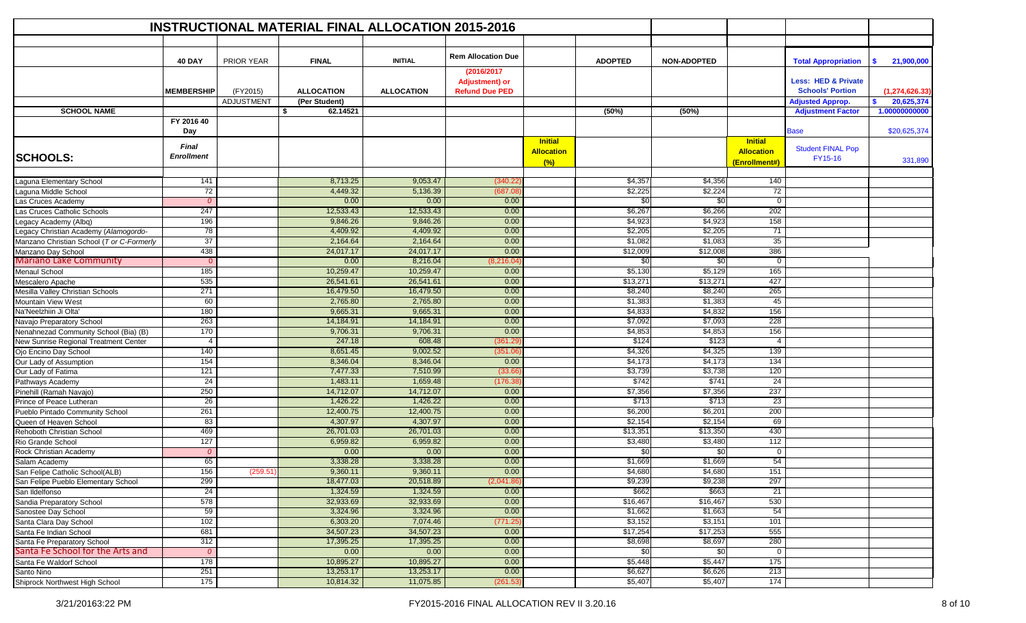|                                           |                            |            | <b>INSTRUCTIONAL MATERIAL FINAL ALLOCATION 2015-2016</b> |                   |                                     |                                            |                |                    |                                                      |                                     |                  |
|-------------------------------------------|----------------------------|------------|----------------------------------------------------------|-------------------|-------------------------------------|--------------------------------------------|----------------|--------------------|------------------------------------------------------|-------------------------------------|------------------|
|                                           |                            |            |                                                          |                   |                                     |                                            |                |                    |                                                      |                                     |                  |
|                                           | <b>40 DAY</b>              | PRIOR YEAR | <b>FINAL</b>                                             | <b>INITIAL</b>    | <b>Rem Allocation Due</b>           |                                            | <b>ADOPTED</b> | <b>NON-ADOPTED</b> |                                                      | <b>Total Appropriation</b>          | 21,900,000<br>s. |
|                                           |                            |            |                                                          |                   | (2016/2017<br><b>Adjustment) or</b> |                                            |                |                    |                                                      | <b>Less: HED &amp; Private</b>      |                  |
|                                           | <b>MEMBERSHIP</b>          | (FY2015)   | <b>ALLOCATION</b>                                        | <b>ALLOCATION</b> | <b>Refund Due PED</b>               |                                            |                |                    |                                                      | <b>Schools' Portion</b>             | (1, 274, 626.33) |
|                                           |                            | ADJUSTMENT | (Per Student)                                            |                   |                                     |                                            |                |                    |                                                      | <b>Adjusted Approp.</b>             | 20,625,374<br>s. |
| <b>SCHOOL NAME</b>                        |                            |            | \$<br>62.14521                                           |                   |                                     |                                            | (50%)          | (50%)              |                                                      | <b>Adjustment Factor</b>            | 1.00000000000    |
|                                           | FY 2016 40<br>Day          |            |                                                          |                   |                                     |                                            |                |                    |                                                      | <b>Base</b>                         | \$20,625,374     |
| <b>SCHOOLS:</b>                           | Final<br><b>Enrollment</b> |            |                                                          |                   |                                     | <b>Initial</b><br><b>Allocation</b><br>(%) |                |                    | <b>Initial</b><br><b>Allocation</b><br>(Enrollment#) | <b>Student FINAL Pop</b><br>FY15-16 | 331,890          |
| Laguna Elementary School                  | 141                        |            | 8,713.25                                                 | 9,053.47          | (340.22)                            |                                            | \$4,357        | \$4,356            | 140                                                  |                                     |                  |
| Laguna Middle School                      | 72                         |            | 4,449.32                                                 | 5,136.39          | (687.0)                             |                                            | \$2,225        | \$2,224            | 72                                                   |                                     |                  |
| Las Cruces Academy                        | $\Omega$                   |            | 0.00                                                     | 0.00              | 0.00                                |                                            | \$0            | \$0                | $\mathbf 0$                                          |                                     |                  |
| Las Cruces Catholic Schools               | 247                        |            | 12,533.43                                                | 12,533.43         | 0.00                                |                                            | \$6,267        | \$6,266            | 202                                                  |                                     |                  |
| Legacy Academy (Albq)                     | 196                        |            | 9,846.26                                                 | 9,846.26          | 0.00                                |                                            | \$4,923        | \$4,923            | 158                                                  |                                     |                  |
| Legacy Christian Academy (Alamogordo-     | 78                         |            | 4,409.92                                                 | 4,409.92          | 0.00                                |                                            | \$2,205        | \$2,205            | 71                                                   |                                     |                  |
| Manzano Christian School (T or C-Formerly | 37                         |            | 2,164.64                                                 | 2,164.64          | 0.00                                |                                            | \$1,082        | \$1,083            | 35                                                   |                                     |                  |
| Manzano Day School                        | 438                        |            | 24,017.17                                                | 24,017.17         | 0.00                                |                                            | \$12,009       | \$12,008           | 386                                                  |                                     |                  |
| <b>Mariano Lake Community</b>             | $\overline{0}$             |            | 0.00                                                     | 8,216.04          | (8, 216.04)                         |                                            | \$0            | \$0                | $\mathbf 0$                                          |                                     |                  |
| <b>Menaul School</b>                      | 185                        |            | 10,259.47                                                | 10,259.47         | 0.00                                |                                            | \$5,130        | \$5,129            | 165                                                  |                                     |                  |
| Mescalero Apache                          | 535                        |            | 26,541.61                                                | 26,541.61         | 0.00                                |                                            | \$13,271       | \$13,271           | 427                                                  |                                     |                  |
| Mesilla Valley Christian Schools          | 271                        |            | 16,479.50                                                | 16,479.50         | 0.00                                |                                            | \$8,240        | \$8,240            | 265                                                  |                                     |                  |
| Mountain View West                        | 60                         |            | 2,765.80                                                 | 2,765.80          | 0.00                                |                                            | \$1,383        | \$1,383            | 45                                                   |                                     |                  |
| Na'Neelzhiin Ji Olta'                     | 180                        |            | 9,665.31                                                 | 9,665.31          | 0.00                                |                                            | \$4,833        | \$4,832            | 156                                                  |                                     |                  |
| Navajo Preparatory School                 | 263                        |            | 14,184.91                                                | 14,184.91         | 0.00                                |                                            | \$7,092        | \$7,093            | 228                                                  |                                     |                  |
| Nenahnezad Community School (Bia) (B)     | 170                        |            | 9,706.31                                                 | 9,706.31          | 0.00                                |                                            | \$4,853        | \$4,853            | 156                                                  |                                     |                  |
| New Sunrise Regional Treatment Center     | $\overline{4}$             |            | 247.18                                                   | 608.48            | (361.29                             |                                            | \$124          | \$123              | $\overline{4}$                                       |                                     |                  |
| Ojo Encino Day School                     | 140                        |            | 8,651.45                                                 | 9,002.52          | (351.06)                            |                                            | \$4,326        | \$4,325            | 139                                                  |                                     |                  |
| Our Lady of Assumption                    | 154                        |            | 8,346.04                                                 | 8,346.04          | 0.00                                |                                            | \$4,173        | \$4,173            | 134                                                  |                                     |                  |
| Our Lady of Fatima                        | 121                        |            | 7,477.33                                                 | 7,510.99          | (33.66)                             |                                            | \$3,739        | \$3,738            | 120                                                  |                                     |                  |
| Pathways Academy                          | 24                         |            | 1,483.11                                                 | 1,659.48          | (176.3)                             |                                            | \$742          | \$741              | $\overline{24}$                                      |                                     |                  |
| Pinehill (Ramah Navajo)                   | 250                        |            | 14,712.07                                                | 14,712.07         | 0.00                                |                                            | \$7,356        | \$7,356            | 237                                                  |                                     |                  |
| Prince of Peace Lutheran                  | $\overline{26}$            |            | 1,426.22                                                 | 1,426.22          | 0.00                                |                                            | \$713          | \$713              | 23                                                   |                                     |                  |
| Pueblo Pintado Community School           | 261                        |            | 12,400.75                                                | 12,400.75         | 0.00                                |                                            | \$6,200        | \$6,201            | 200                                                  |                                     |                  |
| Queen of Heaven School                    | 83                         |            | 4,307.97                                                 | 4,307.97          | 0.00                                |                                            | \$2,154        | \$2,154            | 69                                                   |                                     |                  |
| Rehoboth Christian School                 | 469                        |            | 26,701.03                                                | 26,701.03         | 0.00                                |                                            | \$13,351       | \$13,350           | 430                                                  |                                     |                  |
| Rio Grande School                         | 127                        |            | 6,959.82                                                 | 6,959.82          | 0.00                                |                                            | \$3,480        | \$3,480            | 112                                                  |                                     |                  |
| Rock Christian Academy                    | $\Omega$                   |            | 0.00                                                     | 0.00              | 0.00                                |                                            | \$0            | \$0                | 0                                                    |                                     |                  |
| Salam Academy                             | 65                         |            | 3,338.28                                                 | 3,338.28          | 0.00                                |                                            | \$1,669        | \$1,669            | 54                                                   |                                     |                  |
| San Felipe Catholic School(ALB)           | 156                        | (259.51)   | 9,360.11                                                 | 9.360.11          | 0.00                                |                                            | \$4,680        | \$4,680            | 151                                                  |                                     |                  |
| San Felipe Pueblo Elementary School       | 299                        |            | 18,477.03                                                | 20,518.89         | (2,041.86)                          |                                            | \$9,239        | \$9,238            | 297                                                  |                                     |                  |
| San Ildelfonso                            | $\overline{24}$            |            | 1,324.59                                                 | 1,324.59          | 0.00                                |                                            | \$662          | \$663              | 21                                                   |                                     |                  |
| Sandia Preparatory School                 | 578                        |            | 32,933.69                                                | 32,933.69         | 0.00                                |                                            | \$16,467       | \$16,467           | 530                                                  |                                     |                  |
| Sanostee Day School                       | 59                         |            | 3,324.96                                                 | 3,324.96          | 0.00                                |                                            | \$1,662        | \$1,663            | 54                                                   |                                     |                  |
| Santa Clara Day School                    | 102                        |            | 6,303.20                                                 | 7,074.46          | (771.25                             |                                            | \$3,152        | \$3,151            | 101                                                  |                                     |                  |
| Santa Fe Indian School                    | 681                        |            | 34,507.23                                                | 34,507.23         | 0.00                                |                                            | \$17,254       | \$17,253           | 555                                                  |                                     |                  |
| Santa Fe Preparatory School               | 312                        |            | 17,395.25                                                | 17,395.25         | 0.00                                |                                            | \$8,698        | \$8,697            | 280                                                  |                                     |                  |
| Santa Fe School for the Arts and          | $\mathcal{O}$              |            | 0.00                                                     | 0.00              | 0.00                                |                                            | \$0            | \$0                | $\mathbf 0$                                          |                                     |                  |
| Santa Fe Waldorf School                   | 178                        |            | 10,895.27                                                | 10,895.27         | 0.00                                |                                            | \$5,448        | \$5,447            | 175                                                  |                                     |                  |
| Santo Nino                                | 251                        |            | 13,253.17                                                | 13,253.17         | 0.00                                |                                            | \$6,627        | \$6,626            | 213                                                  |                                     |                  |
| Shiprock Northwest High School            | 175                        |            | 10,814.32                                                | 11,075.85         | (261.53)                            |                                            | \$5,407        | \$5,407            | 174                                                  |                                     |                  |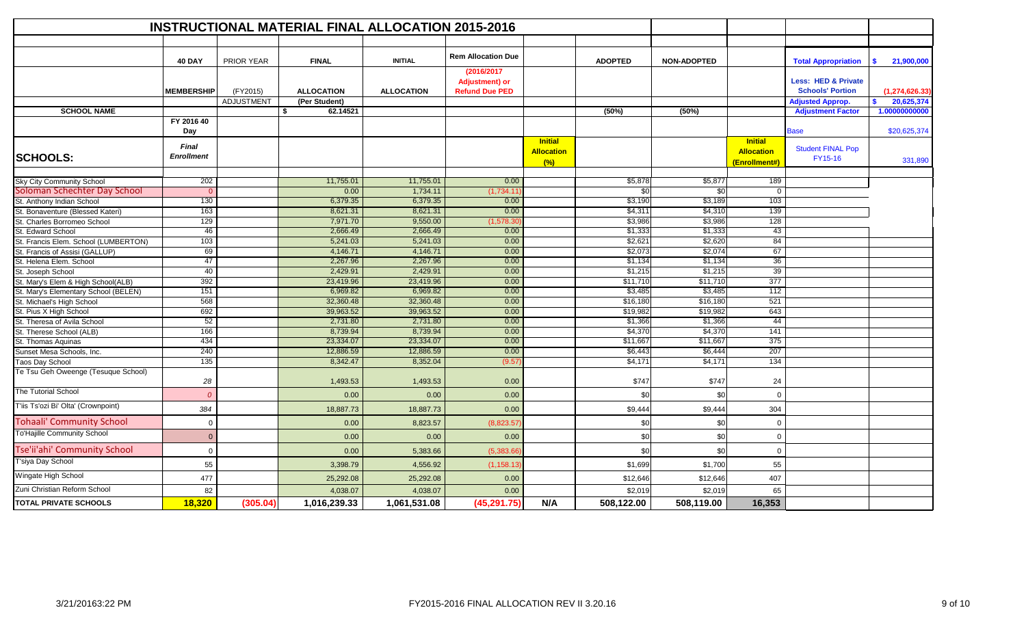|                                                                  |                                   |                   | <b>INSTRUCTIONAL MATERIAL FINAL ALLOCATION 2015-2016</b> |                   |                                                              |                                            |                |                    |                                                      |                                                           |                  |
|------------------------------------------------------------------|-----------------------------------|-------------------|----------------------------------------------------------|-------------------|--------------------------------------------------------------|--------------------------------------------|----------------|--------------------|------------------------------------------------------|-----------------------------------------------------------|------------------|
|                                                                  |                                   |                   |                                                          |                   |                                                              |                                            |                |                    |                                                      |                                                           |                  |
|                                                                  | <b>40 DAY</b>                     | <b>PRIOR YEAR</b> | <b>FINAL</b>                                             | <b>INITIAL</b>    | <b>Rem Allocation Due</b>                                    |                                            | <b>ADOPTED</b> | <b>NON-ADOPTED</b> |                                                      | <b>Total Appropriation</b>                                | 21,900,000<br>s. |
|                                                                  | <b>MEMBERSHIP</b>                 | (FY2015)          | <b>ALLOCATION</b>                                        | <b>ALLOCATION</b> | (2016/2017<br><b>Adjustment)</b> or<br><b>Refund Due PED</b> |                                            |                |                    |                                                      | <b>Less: HED &amp; Private</b><br><b>Schools' Portion</b> | (1, 274, 626.33) |
|                                                                  |                                   | <b>ADJUSTMENT</b> | (Per Student)                                            |                   |                                                              |                                            |                |                    |                                                      | <b>Adjusted Approp.</b>                                   | 20,625,374<br>s. |
| <b>SCHOOL NAME</b>                                               |                                   |                   | 62.14521<br>\$                                           |                   |                                                              |                                            | (50%)          | (50%)              |                                                      | <b>Adjustment Factor</b>                                  | 1.00000000000    |
|                                                                  | FY 2016 40<br>Day                 |                   |                                                          |                   |                                                              |                                            |                |                    |                                                      | <b>Base</b>                                               | \$20,625,374     |
| <b>SCHOOLS:</b>                                                  | <b>Final</b><br><b>Enrollment</b> |                   |                                                          |                   |                                                              | <b>Initial</b><br><b>Allocation</b><br>(%) |                |                    | <b>Initial</b><br><b>Allocation</b><br>(Enrollment#) | <b>Student FINAL Pop</b><br>FY15-16                       | 331,890          |
|                                                                  | 202                               |                   | 11,755.01                                                | 11,755.01         | 0.00                                                         |                                            | \$5,878        | \$5,877            | 189                                                  |                                                           |                  |
| <b>Sky City Community School</b><br>Soloman Schechter Day School |                                   |                   | 0.00                                                     | 1,734.11          | (1,734.1)                                                    |                                            | \$0            | \$0                | $\Omega$                                             |                                                           |                  |
| St. Anthony Indian School                                        | 130                               |                   | 6,379.35                                                 | 6,379.35          | 0.00                                                         |                                            | \$3,190        | \$3,189            | 103                                                  |                                                           |                  |
| St. Bonaventure (Blessed Kateri)                                 | 163                               |                   | 8,621.31                                                 | 8,621.31          | 0.00                                                         |                                            | \$4,311        | \$4,310            | 139                                                  |                                                           |                  |
| St. Charles Borromeo School                                      | 129                               |                   | 7,971.70                                                 | 9,550.00          | (1,578.3(                                                    |                                            | \$3,986        | \$3,986            | 128                                                  |                                                           |                  |
| St. Edward School                                                | 46                                |                   | 2,666.49                                                 | 2,666.49          | 0.00                                                         |                                            | \$1,333        | \$1,333            | 43                                                   |                                                           |                  |
| St. Francis Elem. School (LUMBERTON)                             | 103                               |                   | 5,241.03                                                 | 5,241.03          | 0.00                                                         |                                            | \$2,621        | \$2,620            | 84                                                   |                                                           |                  |
| St. Francis of Assisi (GALLUP)                                   | 69                                |                   | 4,146.71                                                 | 4,146.71          | 0.00                                                         |                                            | \$2,073        | \$2,074            | 67                                                   |                                                           |                  |
| St. Helena Elem. School                                          | 47                                |                   | 2,267.96                                                 | 2,267.96          | 0.00                                                         |                                            | \$1,134        | \$1,134            | 36                                                   |                                                           |                  |
| St. Joseph School                                                | 40                                |                   | 2,429.91                                                 | 2,429.91          | 0.00                                                         |                                            | \$1,215        | \$1,215            | 39                                                   |                                                           |                  |
| St. Mary's Elem & High School(ALB)                               | 392                               |                   | 23,419.96                                                | 23,419.96         | 0.00                                                         |                                            | \$11,710       | \$11,710           | 377                                                  |                                                           |                  |
| St. Mary's Elementary School (BELEN)                             | 151                               |                   | 6,969.82                                                 | 6,969.82          | 0.00                                                         |                                            | \$3,485        | \$3,485            | 112                                                  |                                                           |                  |
| St. Michael's High School                                        | 568                               |                   | 32,360.48                                                | 32,360.48         | 0.00                                                         |                                            | \$16,180       | \$16,180           | 521                                                  |                                                           |                  |
| St. Pius X High School                                           | 692                               |                   | 39,963.52                                                | 39,963.52         | 0.00                                                         |                                            | \$19,982       | \$19,982           | 643                                                  |                                                           |                  |
| St. Theresa of Avila School                                      | 52                                |                   | 2,731.80                                                 | 2,731.80          | 0.00                                                         |                                            | \$1,366        | \$1,366            | 44                                                   |                                                           |                  |
| St. Therese School (ALB)                                         | 166                               |                   | 8,739.94                                                 | 8,739.94          | 0.00                                                         |                                            | \$4,370        | \$4,370            | 141                                                  |                                                           |                  |
| St. Thomas Aquinas                                               | 434                               |                   | 23,334.07                                                | 23,334.07         | 0.00                                                         |                                            | \$11,667       | \$11,667           | 375                                                  |                                                           |                  |
| Sunset Mesa Schools, Inc.                                        | 240                               |                   | 12,886.59                                                | 12,886.59         | 0.00                                                         |                                            | \$6,443        | \$6,444            | 207                                                  |                                                           |                  |
| <b>Taos Day School</b>                                           | 135                               |                   | 8,342.47                                                 | 8,352.04          | (9.57)                                                       |                                            | \$4,171        | \$4,171            | 134                                                  |                                                           |                  |
| Te Tsu Geh Oweenge (Tesuque School)                              | 28                                |                   | 1,493.53                                                 | 1,493.53          | 0.00                                                         |                                            | \$747          | \$747              | 24                                                   |                                                           |                  |
| The Tutorial School                                              | $\Omega$                          |                   | 0.00                                                     | 0.00              | 0.00                                                         |                                            | \$0            | \$0                | $\Omega$                                             |                                                           |                  |
| T'iis Ts'ozi Bi' Olta' (Crownpoint)                              | 384                               |                   | 18,887.73                                                | 18,887.73         | 0.00                                                         |                                            | \$9,444        | \$9,444            | 304                                                  |                                                           |                  |
| <b>Tohaali' Community School</b>                                 | $\Omega$                          |                   | 0.00                                                     | 8,823.57          | (8,823.5)                                                    |                                            | \$0            | \$0                | $\Omega$                                             |                                                           |                  |
| <b>To'Hajille Community School</b>                               | $\Omega$                          |                   | 0.00                                                     | 0.00              | 0.00                                                         |                                            | \$0            | \$0                | $\Omega$                                             |                                                           |                  |
| Tse'ii'ahi' Community School                                     | $\mathbf 0$                       |                   | 0.00                                                     | 5,383.66          | (5,383.66)                                                   |                                            | \$0            | \$0                | $\Omega$                                             |                                                           |                  |
| T'siya Day School                                                | 55                                |                   | 3,398.79                                                 | 4,556.92          | (1, 158.13)                                                  |                                            | \$1,699        | \$1,700            | 55                                                   |                                                           |                  |
| Wingate High School                                              | 477                               |                   | 25,292.08                                                | 25,292.08         | 0.00                                                         |                                            | \$12,646       | \$12,646           | 407                                                  |                                                           |                  |
| Zuni Christian Reform School                                     | 82                                |                   | 4,038.07                                                 | 4,038.07          | 0.00                                                         |                                            | \$2,019        | \$2,019            | 65                                                   |                                                           |                  |
| <b>TOTAL PRIVATE SCHOOLS</b>                                     | 18,320                            | (305.04)          | 1,016,239.33                                             | 1,061,531.08      | (45, 291.75)                                                 | N/A                                        | 508,122.00     | 508,119.00         | 16,353                                               |                                                           |                  |